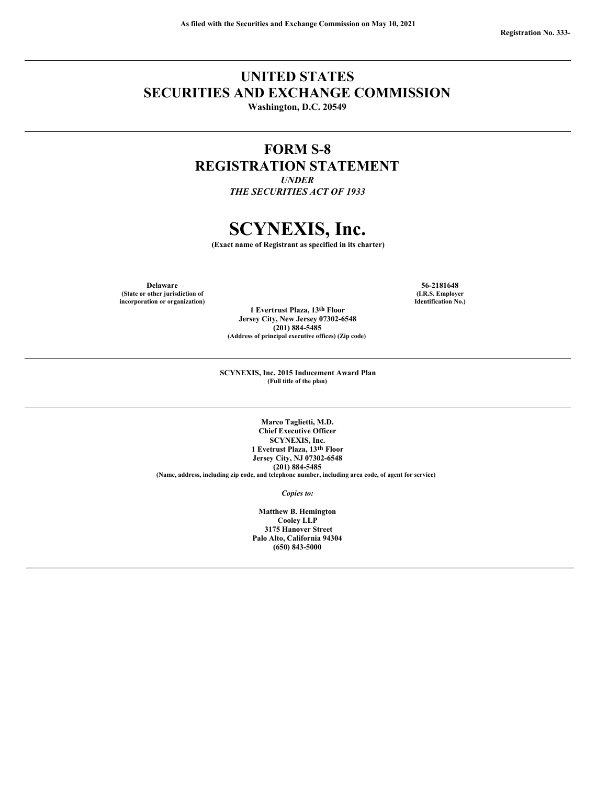# **UNITED STATES SECURITIES AND EXCHANGE COMMISSION**

**Washington, D.C. 20549**

# **FORM S-8 REGISTRATION STATEMENT**

*UNDER THE SECURITIES ACT OF 1933*

# **SCYNEXIS, Inc.**

**(Exact name of Registrant as specified in its charter)**

**Delaware 56-2181648 (State or other jurisdiction of incorporation or organization)**

**(I.R.S. Employer Identification No.)**

**Jersey City, New Jersey 07302-6548 (201) 884-5485 (Address of principal executive offices) (Zip code)**

**1 Evertrust Plaza, 13th Floor**

**SCYNEXIS, Inc. 2015 Inducement Award Plan (Full title of the plan)**

**Marco Taglietti, M.D. Chief Executive Officer SCYNEXIS, Inc. 1 Evetrust Plaza, 13th Floor Jersey City, NJ 07302-6548 (201) 884-5485 (Name, address, including zip code, and telephone number, including area code, of agent for service)**

*Copies to:*

**Matthew B. Hemington Cooley LLP 3175 Hanover Street Palo Alto, California 94304 (650) 843-5000**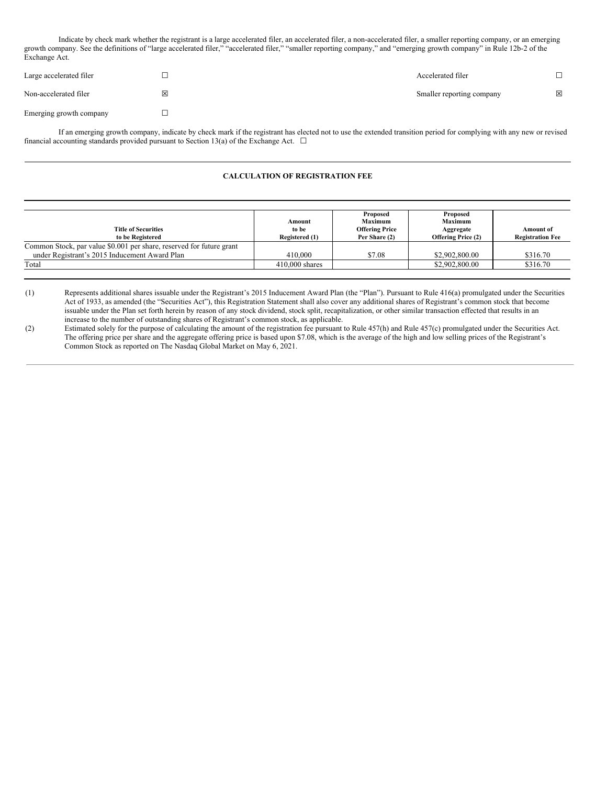Indicate by check mark whether the registrant is a large accelerated filer, an accelerated filer, a non-accelerated filer, a smaller reporting company, or an emerging growth company. See the definitions of "large accelerated filer," "accelerated filer," "smaller reporting company," and "emerging growth company" in Rule 12b-2 of the Exchange Act.

| Large accelerated filer |   | Accelerated filer         |             |
|-------------------------|---|---------------------------|-------------|
| Non-accelerated filer   | ⊠ | Smaller reporting company | $\boxtimes$ |
| Emerging growth company |   |                           |             |

If an emerging growth company, indicate by check mark if the registrant has elected not to use the extended transition period for complying with any new or revised financial accounting standards provided pursuant to Section 13(a) of the Exchange Act.  $\Box$ 

## **CALCULATION OF REGISTRATION FEE**

| <b>Title of Securities</b>                                           | Amount<br>to be  | Proposed<br>Maximum<br><b>Offering Price</b> | Proposed<br>Maximum<br>Aggregate | <b>Amount</b> of        |
|----------------------------------------------------------------------|------------------|----------------------------------------------|----------------------------------|-------------------------|
| to be Registered                                                     | Registered (1)   | Per Share (2)                                | <b>Offering Price (2)</b>        | <b>Registration Fee</b> |
| Common Stock, par value \$0.001 per share, reserved for future grant |                  |                                              |                                  |                         |
| under Registrant's 2015 Inducement Award Plan                        | 410,000          | \$7.08                                       | \$2,902,800.00                   | \$316.70                |
| Total                                                                | $410,000$ shares |                                              | \$2,902,800.00                   | \$316.70                |

(1) Represents additional shares issuable under the Registrant's 2015 Inducement Award Plan (the "Plan"). Pursuant to Rule 416(a) promulgated under the Securities Act of 1933, as amended (the "Securities Act"), this Registration Statement shall also cover any additional shares of Registrant's common stock that become issuable under the Plan set forth herein by reason of any stock dividend, stock split, recapitalization, or other similar transaction effected that results in an increase to the number of outstanding shares of Registrant's common stock, as applicable.

(2) Estimated solely for the purpose of calculating the amount of the registration fee pursuant to Rule 457(h) and Rule 457(c) promulgated under the Securities Act. The offering price per share and the aggregate offering price is based upon \$7.08, which is the average of the high and low selling prices of the Registrant's Common Stock as reported on The Nasdaq Global Market on May 6, 2021.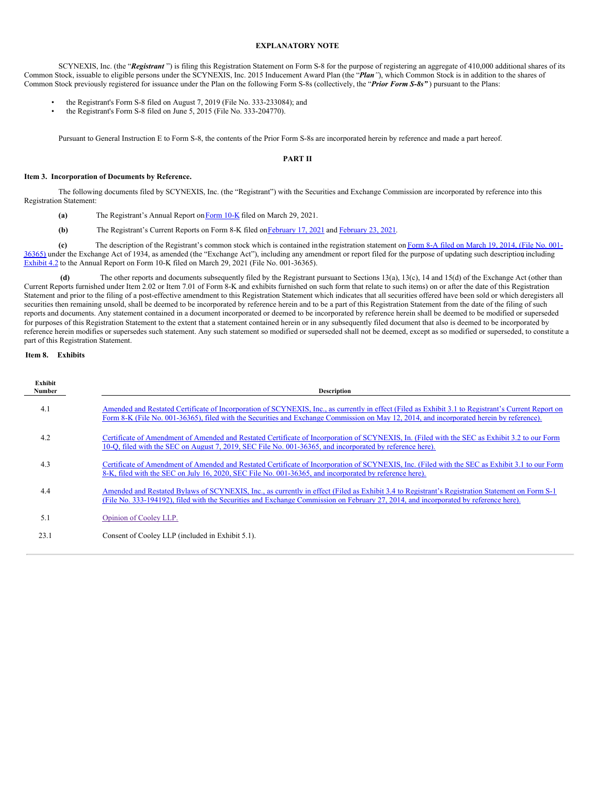#### **EXPLANATORY NOTE**

SCYNEXIS, Inc. (the "*Registrant*") is filing this Registration Statement on Form S-8 for the purpose of registering an aggregate of 410,000 additional shares of its Common Stock, issuable to eligible persons under the SCYNEXIS, Inc. 2015 Inducement Award Plan (the "*Plan"*), which Common Stock is in addition to the shares of Common Stock previously registered for issuance under the Plan on the following Form S-8s (collectively, the "*Prior Form S-8s"* ) pursuant to the Plans:

- the Registrant's Form S-8 filed on August 7, 2019 (File No. 333-233084); and
- the Registrant's Form S-8 filed on June 5, 2015 (File No. 333-204770).

Pursuant to General Instruction E to Form S-8, the contents of the Prior Form S-8s are incorporated herein by reference and made a part hereof.

#### **PART II**

#### **Item 3. Incorporation of Documents by Reference.**

The following documents filed by SCYNEXIS, Inc. (the "Registrant") with the Securities and Exchange Commission are incorporated by reference into this Registration Statement:

- **(a)** The Registrant's Annual Report on[Form](https://www.sec.gov/ix?doc=/Archives/edgar/data/1178253/000156459021015962/scyx-10k_20201231.htm) 10-K filed on March 29, 2021.
- **(b)** The Registrant's Current Reports on Form 8-K filed on [February](https://www.sec.gov/ix?doc=/Archives/edgar/data/1178253/000156459021007302/scyx-8k_20210219.htm) 17, 2021 and February 23, 2021.

**(c)** The description of the [Registrant's](http://www.sec.gov/Archives/edgar/data/1178253/000119312514106556/d695245d8a12b.htm) common stock which is contained inthe registration statement on Form 8-A filed on March 19, 2014, (File No. 001- 36365) under the Exchange Act of 1934, as amended (the "Exchange Act"), including any amendment or report filed for the purpose of updating such description, including [Exhibit](http://www.sec.gov/Archives/edgar/data/1178253/000156459021015962/scyx-ex42_139.htm) 4.2 to the Annual Report on Form 10-K filed on March 29, 2021 (File No. 001-36365).

**(d)** The other reports and documents subsequently filed by the Registrant pursuant to Sections 13(a), 13(c), 14 and 15(d) of the Exchange Act (other than Current Reports furnished under Item 2.02 or Item 7.01 of Form 8-K and exhibits furnished on such form that relate to such items) on or after the date of this Registration Statement and prior to the filing of a post-effective amendment to this Registration Statement which indicates that all securities offered have been sold or which deregisters all securities then remaining unsold, shall be deemed to be incorporated by reference herein and to be a part of this Registration Statement from the date of the filing of such reports and documents. Any statement contained in a document incorporated or deemed to be incorporated by reference herein shall be deemed to be modified or superseded for purposes of this Registration Statement to the extent that a statement contained herein or in any subsequently filed document that also is deemed to be incorporated by reference herein modifies or supersedes such statement. Any such statement so modified or superseded shall not be deemed, except as so modified or superseded, to constitute a part of this Registration Statement.

#### **Item 8. Exhibits**

| Exhibit<br><b>Number</b> | <b>Description</b>                                                                                                                                                                                                                                                                              |
|--------------------------|-------------------------------------------------------------------------------------------------------------------------------------------------------------------------------------------------------------------------------------------------------------------------------------------------|
| 4.1                      | Amended and Restated Certificate of Incorporation of SCYNEXIS, Inc., as currently in effect (Filed as Exhibit 3.1 to Registrant's Current Report on<br>Form 8-K (File No. 001-36365), filed with the Securities and Exchange Commission on May 12, 2014, and incorporated herein by reference). |
| 4.2                      | Certificate of Amendment of Amended and Restated Certificate of Incorporation of SCYNEXIS, In. (Filed with the SEC as Exhibit 3.2 to our Form<br>10-O, filed with the SEC on August 7, 2019, SEC File No. 001-36365, and incorporated by reference here).                                       |
| 4.3                      | Certificate of Amendment of Amended and Restated Certificate of Incorporation of SCYNEXIS, Inc. (Filed with the SEC as Exhibit 3.1 to our Form<br>8-K, filed with the SEC on July 16, 2020, SEC File No. 001-36365, and incorporated by reference here).                                        |
| 4.4                      | Amended and Restated Bylaws of SCYNEXIS, Inc., as currently in effect (Filed as Exhibit 3.4 to Registrati's Registration Statement on Form S-1<br>(File No. 333-194192), filed with the Securities and Exchange Commission on February 27, 2014, and incorporated by reference here).           |
| 5.1                      | Opinion of Cooley LLP.                                                                                                                                                                                                                                                                          |
| 23.1                     | Consent of Cooley LLP (included in Exhibit 5.1).                                                                                                                                                                                                                                                |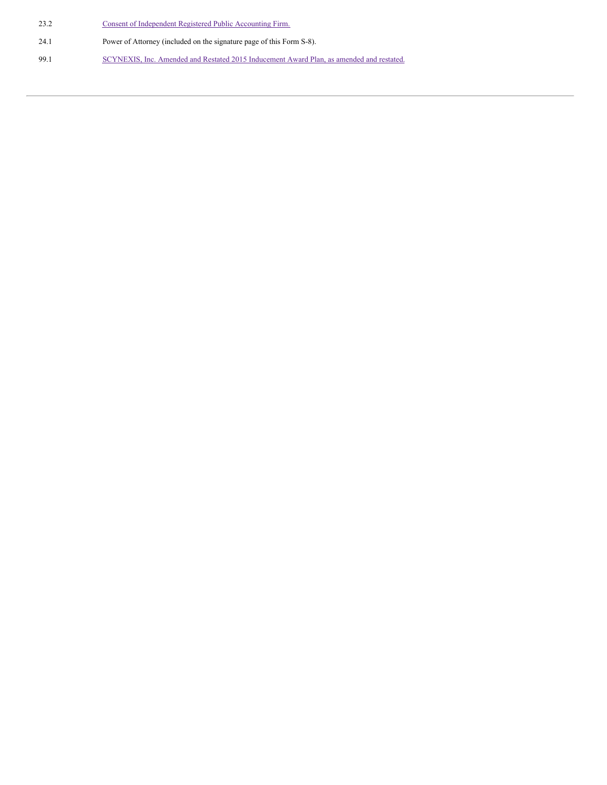- 23.2 Consent of [Independent](#page-6-0) Registered Public Accounting Firm.
- 24.1 Power of Attorney (included on the signature page of this Form S-8).
- 99.1 [SCYNEXIS,](#page-19-0) Inc. Amended and Restated 2015 Inducement Award Plan, as amended and restated.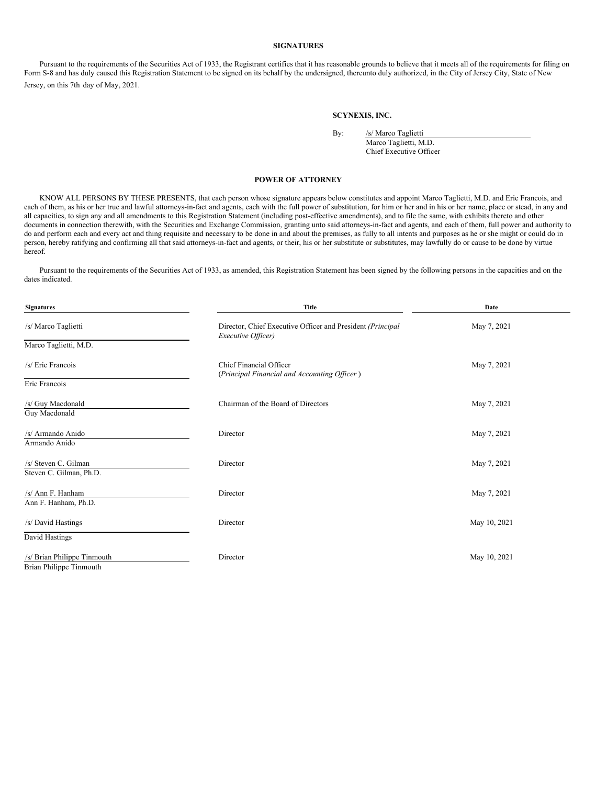#### **SIGNATURES**

Pursuant to the requirements of the Securities Act of 1933, the Registrant certifies that it has reasonable grounds to believe that it meets all of the requirements for filing on Form S-8 and has duly caused this Registration Statement to be signed on its behalf by the undersigned, thereunto duly authorized, in the City of Jersey City, State of New Jersey, on this 7th day of May, 2021.

#### **SCYNEXIS, INC.**

By: /s/ Marco Taglietti

Marco Taglietti, M.D. Chief Executive Officer

#### **POWER OF ATTORNEY**

KNOW ALL PERSONS BY THESE PRESENTS, that each person whose signature appears below constitutes and appoint Marco Taglietti, M.D. and Eric Francois, and each of them, as his or her true and lawful attorneys-in-fact and agents, each with the full power of substitution, for him or her and in his or her name, place or stead, in any and all capacities, to sign any and all amendments to this Registration Statement (including post-effective amendments), and to file the same, with exhibits thereto and other documents in connection therewith, with the Securities and Exchange Commission, granting unto said attorneys-in-fact and agents, and each of them, full power and authority to do and perform each and every act and thing requisite and necessary to be done in and about the premises, as fully to all intents and purposes as he or she might or could do in person, hereby ratifying and confirming all that said attorneys-in-fact and agents, or their, his or her substitute or substitutes, may lawfully do or cause to be done by virtue hereof.

Pursuant to the requirements of the Securities Act of 1933, as amended, this Registration Statement has been signed by the following persons in the capacities and on the dates indicated.

| <b>Signatures</b>                                             | <b>Title</b>                                                                     | Date         |
|---------------------------------------------------------------|----------------------------------------------------------------------------------|--------------|
| /s/ Marco Taglietti                                           | Director, Chief Executive Officer and President (Principal<br>Executive Officer) | May 7, 2021  |
| Marco Taglietti, M.D.                                         |                                                                                  |              |
| /s/ Eric Francois                                             | Chief Financial Officer<br>(Principal Financial and Accounting Officer)          | May 7, 2021  |
| Eric Francois                                                 |                                                                                  |              |
| /s/ Guy Macdonald<br>Guy Macdonald                            | Chairman of the Board of Directors                                               | May 7, 2021  |
| /s/ Armando Anido<br>Armando Anido                            | Director                                                                         | May 7, 2021  |
| /s/ Steven C. Gilman<br>Steven C. Gilman, Ph.D.               | Director                                                                         | May 7, 2021  |
| /s/ Ann F. Hanham<br>Ann F. Hanham, Ph.D.                     | Director                                                                         | May 7, 2021  |
| /s/ David Hastings                                            | Director                                                                         | May 10, 2021 |
| David Hastings                                                |                                                                                  |              |
| /s/ Brian Philippe Tinmouth<br><b>Brian Philippe Tinmouth</b> | Director                                                                         | May 10, 2021 |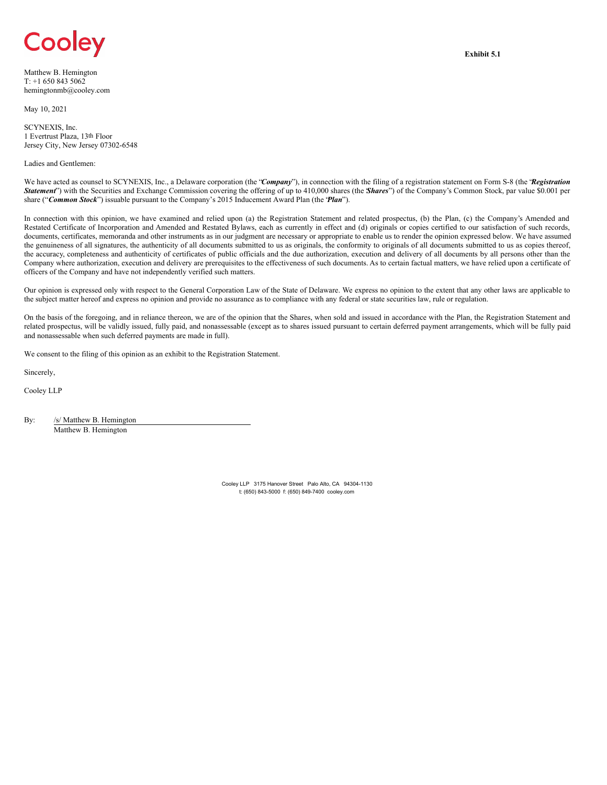# <span id="page-5-0"></span>**Cooley**

Matthew B. Hemington T: +1 650 843 5062 hemingtonmb@cooley.com

May 10, 2021

SCYNEXIS, Inc. 1 Evertrust Plaza, 13th Floor Jersey City, New Jersey 07302-6548

Ladies and Gentlemen:

We have acted as counsel to SCYNEXIS, Inc., a Delaware corporation (the "*Company*"), in connection with the filing of a registration statement on Form S-8 (the *Registration Statement*") with the Securities and Exchange Commission covering the offering of up to 410,000 shares (the *Shares*") of the Company's Common Stock, par value \$0.001 per share ("*Common Stock*") issuable pursuant to the Company's 2015 Inducement Award Plan (the "*Plan*").

In connection with this opinion, we have examined and relied upon (a) the Registration Statement and related prospectus, (b) the Plan, (c) the Company's Amended and Restated Certificate of Incorporation and Amended and Restated Bylaws, each as currently in effect and (d) originals or copies certified to our satisfaction of such records, documents, certificates, memoranda and other instruments as in our judgment are necessary or appropriate to enable us to render the opinion expressed below. We have assumed the genuineness of all signatures, the authenticity of all documents submitted to us as originals, the conformity to originals of all documents submitted to us as copies thereof, the accuracy, completeness and authenticity of certificates of public officials and the due authorization, execution and delivery of all documents by all persons other than the Company where authorization, execution and delivery are prerequisites to the effectiveness of such documents. As to certain factual matters, we have relied upon a certificate of officers of the Company and have not independently verified such matters.

Our opinion is expressed only with respect to the General Corporation Law of the State of Delaware. We express no opinion to the extent that any other laws are applicable to the subject matter hereof and express no opinion and provide no assurance as to compliance with any federal or state securities law, rule or regulation.

On the basis of the foregoing, and in reliance thereon, we are of the opinion that the Shares, when sold and issued in accordance with the Plan, the Registration Statement and related prospectus, will be validly issued, fully paid, and nonassessable (except as to shares issued pursuant to certain deferred payment arrangements, which will be fully paid and nonassessable when such deferred payments are made in full).

We consent to the filing of this opinion as an exhibit to the Registration Statement.

Sincerely,

Cooley LLP

By: /s/ Matthew B. Hemington Matthew B. Hemington

> Cooley LLP 3175 Hanover Street Palo Alto, CA 94304-1130 t: (650) 843-5000 f: (650) 849-7400 cooley.com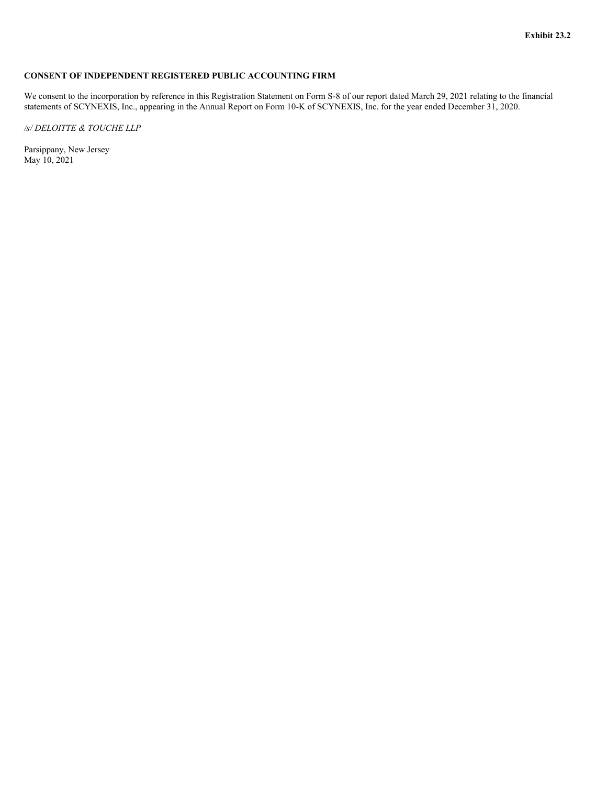## <span id="page-6-0"></span>**CONSENT OF INDEPENDENT REGISTERED PUBLIC ACCOUNTING FIRM**

We consent to the incorporation by reference in this Registration Statement on Form S-8 of our report dated March 29, 2021 relating to the financial statements of SCYNEXIS, Inc., appearing in the Annual Report on Form 10-K of SCYNEXIS, Inc. for the year ended December 31, 2020.

*/s/ DELOITTE & TOUCHE LLP*

Parsippany, New Jersey May 10, 2021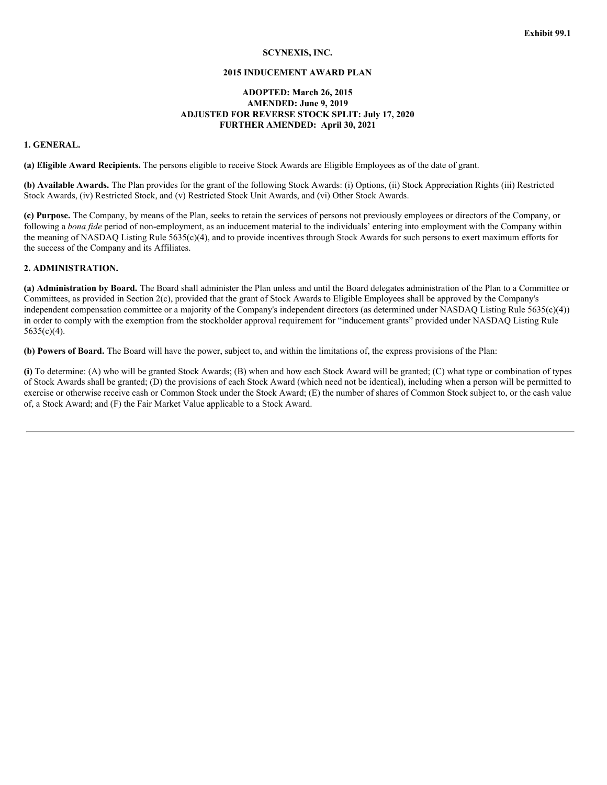#### **SCYNEXIS, INC.**

#### **2015 INDUCEMENT AWARD PLAN**

## **ADOPTED: March 26, 2015 AMENDED: June 9, 2019 ADJUSTED FOR REVERSE STOCK SPLIT: July 17, 2020 FURTHER AMENDED: April 30, 2021**

#### **1. GENERAL.**

**(a) Eligible Award Recipients.** The persons eligible to receive Stock Awards are Eligible Employees as of the date of grant.

**(b) Available Awards.** The Plan provides for the grant of the following Stock Awards: (i) Options, (ii) Stock Appreciation Rights (iii) Restricted Stock Awards, (iv) Restricted Stock, and (v) Restricted Stock Unit Awards, and (vi) Other Stock Awards.

**(c) Purpose.** The Company, by means of the Plan, seeks to retain the services of persons not previously employees or directors of the Company, or following a *bona fide* period of non-employment, as an inducement material to the individuals' entering into employment with the Company within the meaning of NASDAO Listing Rule 5635(c)(4), and to provide incentives through Stock Awards for such persons to exert maximum efforts for the success of the Company and its Affiliates.

## **2. ADMINISTRATION.**

**(a) Administration by Board.** The Board shall administer the Plan unless and until the Board delegates administration of the Plan to a Committee or Committees, as provided in Section 2(c), provided that the grant of Stock Awards to Eligible Employees shall be approved by the Company's independent compensation committee or a majority of the Company's independent directors (as determined under NASDAQ Listing Rule 5635(c)(4)) in order to comply with the exemption from the stockholder approval requirement for "inducement grants" provided under NASDAQ Listing Rule 5635(c)(4).

**(b) Powers of Board.** The Board will have the power, subject to, and within the limitations of, the express provisions of the Plan:

**(i)** To determine: (A) who will be granted Stock Awards; (B) when and how each Stock Award will be granted; (C) what type or combination of types of Stock Awards shall be granted; (D) the provisions of each Stock Award (which need not be identical), including when a person will be permitted to exercise or otherwise receive cash or Common Stock under the Stock Award; (E) the number of shares of Common Stock subject to, or the cash value of, a Stock Award; and (F) the Fair Market Value applicable to a Stock Award.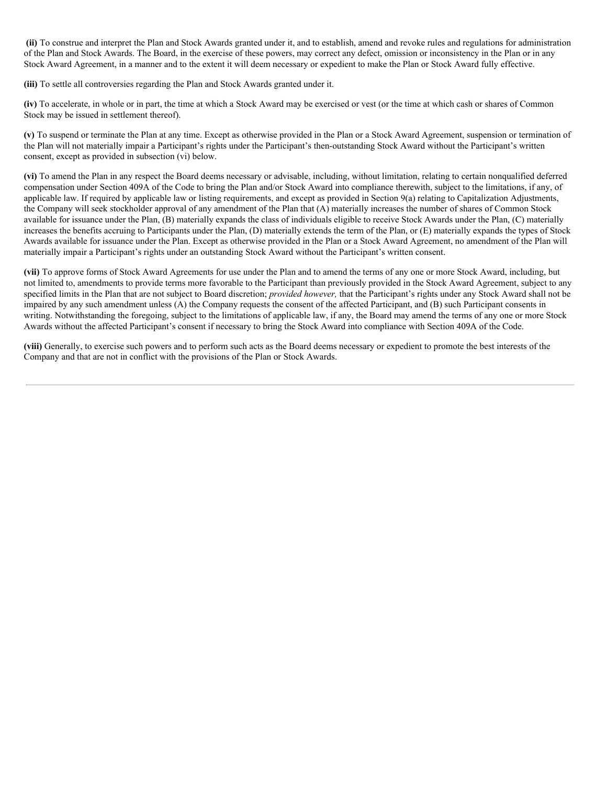**(ii)** To construe and interpret the Plan and Stock Awards granted under it, and to establish, amend and revoke rules and regulations for administration of the Plan and Stock Awards. The Board, in the exercise of these powers, may correct any defect, omission or inconsistency in the Plan or in any Stock Award Agreement, in a manner and to the extent it will deem necessary or expedient to make the Plan or Stock Award fully effective.

**(iii)** To settle all controversies regarding the Plan and Stock Awards granted under it.

**(iv)** To accelerate, in whole or in part, the time at which a Stock Award may be exercised or vest (or the time at which cash or shares of Common Stock may be issued in settlement thereof).

**(v)** To suspend or terminate the Plan at any time. Except as otherwise provided in the Plan or a Stock Award Agreement, suspension or termination of the Plan will not materially impair a Participant's rights under the Participant's then-outstanding Stock Award without the Participant's written consent, except as provided in subsection (vi) below.

**(vi)** To amend the Plan in any respect the Board deems necessary or advisable, including, without limitation, relating to certain nonqualified deferred compensation under Section 409A of the Code to bring the Plan and/or Stock Award into compliance therewith, subject to the limitations, if any, of applicable law. If required by applicable law or listing requirements, and except as provided in Section 9(a) relating to Capitalization Adjustments, the Company will seek stockholder approval of any amendment of the Plan that (A) materially increases the number of shares of Common Stock available for issuance under the Plan, (B) materially expands the class of individuals eligible to receive Stock Awards under the Plan, (C) materially increases the benefits accruing to Participants under the Plan, (D) materially extends the term of the Plan, or (E) materially expands the types of Stock Awards available for issuance under the Plan. Except as otherwise provided in the Plan or a Stock Award Agreement, no amendment of the Plan will materially impair a Participant's rights under an outstanding Stock Award without the Participant's written consent.

**(vii)** To approve forms of Stock Award Agreements for use under the Plan and to amend the terms of any one or more Stock Award, including, but not limited to, amendments to provide terms more favorable to the Participant than previously provided in the Stock Award Agreement, subject to any specified limits in the Plan that are not subject to Board discretion; *provided however,* that the Participant's rights under any Stock Award shall not be impaired by any such amendment unless (A) the Company requests the consent of the affected Participant, and (B) such Participant consents in writing. Notwithstanding the foregoing, subject to the limitations of applicable law, if any, the Board may amend the terms of any one or more Stock Awards without the affected Participant's consent if necessary to bring the Stock Award into compliance with Section 409A of the Code.

**(viii)** Generally, to exercise such powers and to perform such acts as the Board deems necessary or expedient to promote the best interests of the Company and that are not in conflict with the provisions of the Plan or Stock Awards.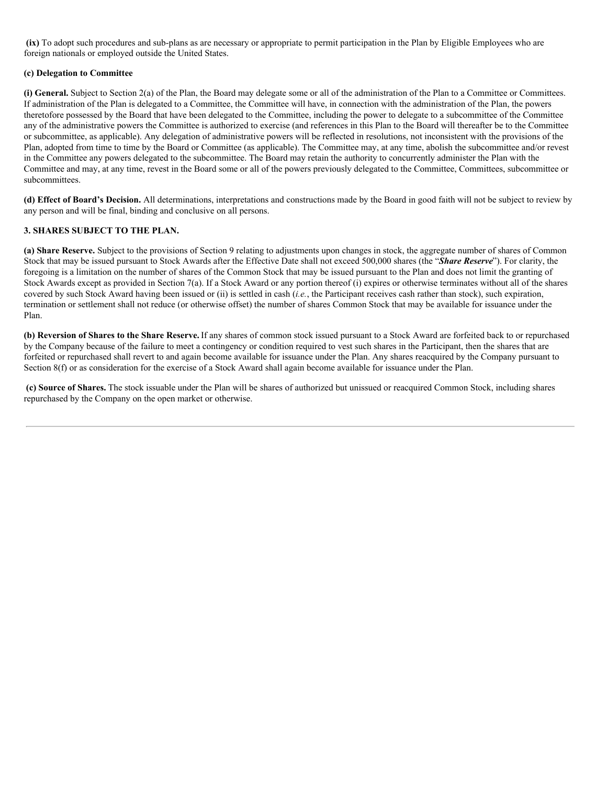**(ix)** To adopt such procedures and sub-plans as are necessary or appropriate to permit participation in the Plan by Eligible Employees who are foreign nationals or employed outside the United States.

## **(c) Delegation to Committee**

(i) General. Subject to Section 2(a) of the Plan, the Board may delegate some or all of the administration of the Plan to a Committee or Committees. If administration of the Plan is delegated to a Committee, the Committee will have, in connection with the administration of the Plan, the powers theretofore possessed by the Board that have been delegated to the Committee, including the power to delegate to a subcommittee of the Committee any of the administrative powers the Committee is authorized to exercise (and references in this Plan to the Board will thereafter be to the Committee or subcommittee, as applicable). Any delegation of administrative powers will be reflected in resolutions, not inconsistent with the provisions of the Plan, adopted from time to time by the Board or Committee (as applicable). The Committee may, at any time, abolish the subcommittee and/or revest in the Committee any powers delegated to the subcommittee. The Board may retain the authority to concurrently administer the Plan with the Committee and may, at any time, revest in the Board some or all of the powers previously delegated to the Committee, Committees, subcommittee or subcommittees.

**(d) Effect of Board's Decision.** All determinations, interpretations and constructions made by the Board in good faith will not be subject to review by any person and will be final, binding and conclusive on all persons.

# **3. SHARES SUBJECT TO THE PLAN.**

**(a) Share Reserve.** Subject to the provisions of Section 9 relating to adjustments upon changes in stock, the aggregate number of shares of Common Stock that may be issued pursuant to Stock Awards after the Effective Date shall not exceed 500,000 shares (the "*Share Reserve*"). For clarity, the foregoing is a limitation on the number of shares of the Common Stock that may be issued pursuant to the Plan and does not limit the granting of Stock Awards except as provided in Section 7(a). If a Stock Award or any portion thereof (i) expires or otherwise terminates without all of the shares covered by such Stock Award having been issued or (ii) is settled in cash (*i.e.*, the Participant receives cash rather than stock), such expiration, termination or settlement shall not reduce (or otherwise offset) the number of shares Common Stock that may be available for issuance under the Plan.

**(b) Reversion of Shares to the Share Reserve.** If any shares of common stock issued pursuant to a Stock Award are forfeited back to or repurchased by the Company because of the failure to meet a contingency or condition required to vest such shares in the Participant, then the shares that are forfeited or repurchased shall revert to and again become available for issuance under the Plan. Any shares reacquired by the Company pursuant to Section 8(f) or as consideration for the exercise of a Stock Award shall again become available for issuance under the Plan.

**(c) Source of Shares.** The stock issuable under the Plan will be shares of authorized but unissued or reacquired Common Stock, including shares repurchased by the Company on the open market or otherwise.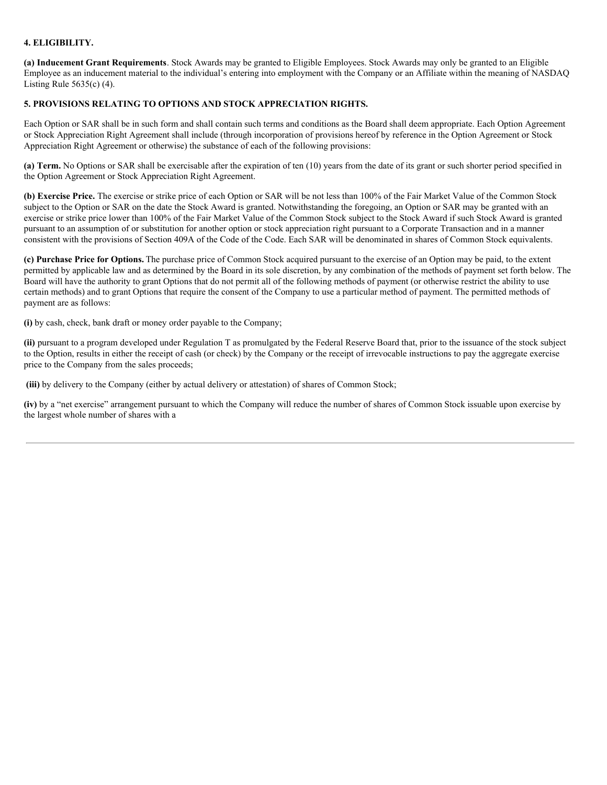## **4. ELIGIBILITY.**

**(a) Inducement Grant Requirements**. Stock Awards may be granted to Eligible Employees. Stock Awards may only be granted to an Eligible Employee as an inducement material to the individual's entering into employment with the Company or an Affiliate within the meaning of NASDAQ Listing Rule 5635(c) (4).

# **5. PROVISIONS RELATING TO OPTIONS AND STOCK APPRECIATION RIGHTS.**

Each Option or SAR shall be in such form and shall contain such terms and conditions as the Board shall deem appropriate. Each Option Agreement or Stock Appreciation Right Agreement shall include (through incorporation of provisions hereof by reference in the Option Agreement or Stock Appreciation Right Agreement or otherwise) the substance of each of the following provisions:

**(a) Term.** No Options or SAR shall be exercisable after the expiration of ten (10) years from the date of its grant or such shorter period specified in the Option Agreement or Stock Appreciation Right Agreement.

**(b) Exercise Price.** The exercise or strike price of each Option or SAR will be not less than 100% of the Fair Market Value of the Common Stock subject to the Option or SAR on the date the Stock Award is granted. Notwithstanding the foregoing, an Option or SAR may be granted with an exercise or strike price lower than 100% of the Fair Market Value of the Common Stock subject to the Stock Award if such Stock Award is granted pursuant to an assumption of or substitution for another option or stock appreciation right pursuant to a Corporate Transaction and in a manner consistent with the provisions of Section 409A of the Code of the Code. Each SAR will be denominated in shares of Common Stock equivalents.

**(c) Purchase Price for Options.** The purchase price of Common Stock acquired pursuant to the exercise of an Option may be paid, to the extent permitted by applicable law and as determined by the Board in its sole discretion, by any combination of the methods of payment set forth below. The Board will have the authority to grant Options that do not permit all of the following methods of payment (or otherwise restrict the ability to use certain methods) and to grant Options that require the consent of the Company to use a particular method of payment. The permitted methods of payment are as follows:

**(i)** by cash, check, bank draft or money order payable to the Company;

**(ii)** pursuant to a program developed under Regulation T as promulgated by the Federal Reserve Board that, prior to the issuance of the stock subject to the Option, results in either the receipt of cash (or check) by the Company or the receipt of irrevocable instructions to pay the aggregate exercise price to the Company from the sales proceeds;

**(iii)** by delivery to the Company (either by actual delivery or attestation) of shares of Common Stock;

**(iv)** by a "net exercise" arrangement pursuant to which the Company will reduce the number of shares of Common Stock issuable upon exercise by the largest whole number of shares with a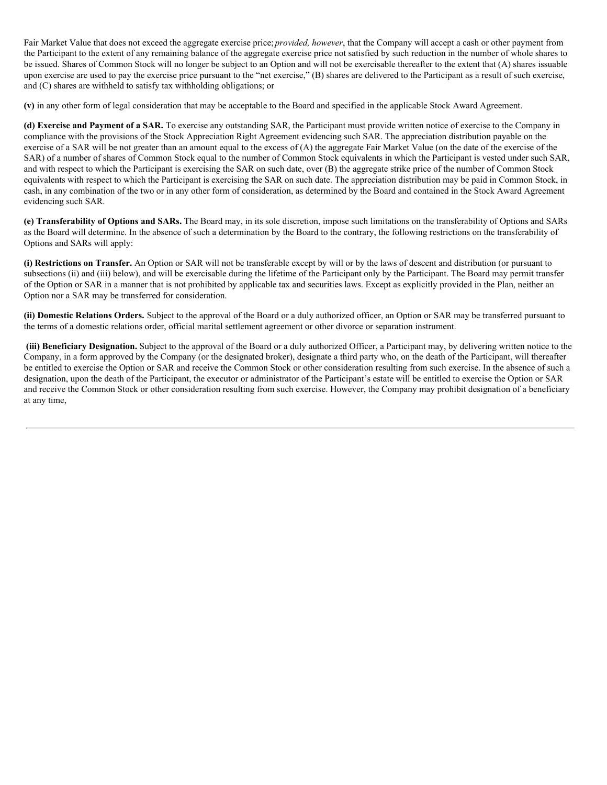Fair Market Value that does not exceed the aggregate exercise price; *provided, however*, that the Company will accept a cash or other payment from the Participant to the extent of any remaining balance of the aggregate exercise price not satisfied by such reduction in the number of whole shares to be issued. Shares of Common Stock will no longer be subject to an Option and will not be exercisable thereafter to the extent that (A) shares issuable upon exercise are used to pay the exercise price pursuant to the "net exercise," (B) shares are delivered to the Participant as a result of such exercise, and (C) shares are withheld to satisfy tax withholding obligations; or

**(v)** in any other form of legal consideration that may be acceptable to the Board and specified in the applicable Stock Award Agreement.

**(d) Exercise and Payment of a SAR.** To exercise any outstanding SAR, the Participant must provide written notice of exercise to the Company in compliance with the provisions of the Stock Appreciation Right Agreement evidencing such SAR. The appreciation distribution payable on the exercise of a SAR will be not greater than an amount equal to the excess of (A) the aggregate Fair Market Value (on the date of the exercise of the SAR) of a number of shares of Common Stock equal to the number of Common Stock equivalents in which the Participant is vested under such SAR, and with respect to which the Participant is exercising the SAR on such date, over (B) the aggregate strike price of the number of Common Stock equivalents with respect to which the Participant is exercising the SAR on such date. The appreciation distribution may be paid in Common Stock, in cash, in any combination of the two or in any other form of consideration, as determined by the Board and contained in the Stock Award Agreement evidencing such SAR.

**(e) Transferability of Options and SARs.** The Board may, in its sole discretion, impose such limitations on the transferability of Options and SARs as the Board will determine. In the absence of such a determination by the Board to the contrary, the following restrictions on the transferability of Options and SARs will apply:

**(i) Restrictions on Transfer.** An Option or SAR will not be transferable except by will or by the laws of descent and distribution (or pursuant to subsections (ii) and (iii) below), and will be exercisable during the lifetime of the Participant only by the Participant. The Board may permit transfer of the Option or SAR in a manner that is not prohibited by applicable tax and securities laws. Except as explicitly provided in the Plan, neither an Option nor a SAR may be transferred for consideration.

**(ii) Domestic Relations Orders.** Subject to the approval of the Board or a duly authorized officer, an Option or SAR may be transferred pursuant to the terms of a domestic relations order, official marital settlement agreement or other divorce or separation instrument.

**(iii) Beneficiary Designation.** Subject to the approval of the Board or a duly authorized Officer, a Participant may, by delivering written notice to the Company, in a form approved by the Company (or the designated broker), designate a third party who, on the death of the Participant, will thereafter be entitled to exercise the Option or SAR and receive the Common Stock or other consideration resulting from such exercise. In the absence of such a designation, upon the death of the Participant, the executor or administrator of the Participant's estate will be entitled to exercise the Option or SAR and receive the Common Stock or other consideration resulting from such exercise. However, the Company may prohibit designation of a beneficiary at any time,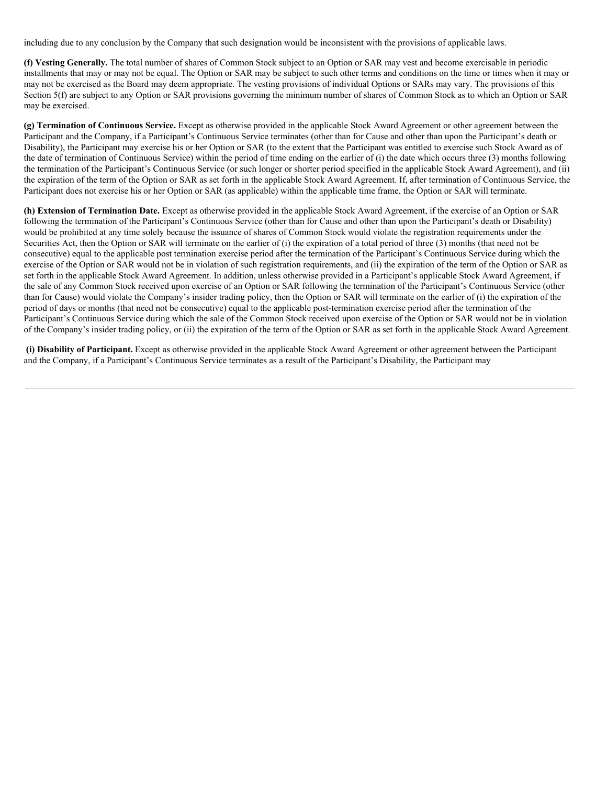including due to any conclusion by the Company that such designation would be inconsistent with the provisions of applicable laws.

**(f) Vesting Generally.** The total number of shares of Common Stock subject to an Option or SAR may vest and become exercisable in periodic installments that may or may not be equal. The Option or SAR may be subject to such other terms and conditions on the time or times when it may or may not be exercised as the Board may deem appropriate. The vesting provisions of individual Options or SARs may vary. The provisions of this Section 5(f) are subject to any Option or SAR provisions governing the minimum number of shares of Common Stock as to which an Option or SAR may be exercised.

**(g) Termination of Continuous Service.** Except as otherwise provided in the applicable Stock Award Agreement or other agreement between the Participant and the Company, if a Participant's Continuous Service terminates (other than for Cause and other than upon the Participant's death or Disability), the Participant may exercise his or her Option or SAR (to the extent that the Participant was entitled to exercise such Stock Award as of the date of termination of Continuous Service) within the period of time ending on the earlier of (i) the date which occurs three (3) months following the termination of the Participant's Continuous Service (or such longer or shorter period specified in the applicable Stock Award Agreement), and (ii) the expiration of the term of the Option or SAR as set forth in the applicable Stock Award Agreement. If, after termination of Continuous Service, the Participant does not exercise his or her Option or SAR (as applicable) within the applicable time frame, the Option or SAR will terminate.

**(h) Extension of Termination Date.** Except as otherwise provided in the applicable Stock Award Agreement, if the exercise of an Option or SAR following the termination of the Participant's Continuous Service (other than for Cause and other than upon the Participant's death or Disability) would be prohibited at any time solely because the issuance of shares of Common Stock would violate the registration requirements under the Securities Act, then the Option or SAR will terminate on the earlier of (i) the expiration of a total period of three (3) months (that need not be consecutive) equal to the applicable post termination exercise period after the termination of the Participant's Continuous Service during which the exercise of the Option or SAR would not be in violation of such registration requirements, and (ii) the expiration of the term of the Option or SAR as set forth in the applicable Stock Award Agreement. In addition, unless otherwise provided in a Participant's applicable Stock Award Agreement, if the sale of any Common Stock received upon exercise of an Option or SAR following the termination of the Participant's Continuous Service (other than for Cause) would violate the Company's insider trading policy, then the Option or SAR will terminate on the earlier of (i) the expiration of the period of days or months (that need not be consecutive) equal to the applicable post-termination exercise period after the termination of the Participant's Continuous Service during which the sale of the Common Stock received upon exercise of the Option or SAR would not be in violation of the Company's insider trading policy, or (ii) the expiration of the term of the Option or SAR as set forth in the applicable Stock Award Agreement.

**(i) Disability of Participant.** Except as otherwise provided in the applicable Stock Award Agreement or other agreement between the Participant and the Company, if a Participant's Continuous Service terminates as a result of the Participant's Disability, the Participant may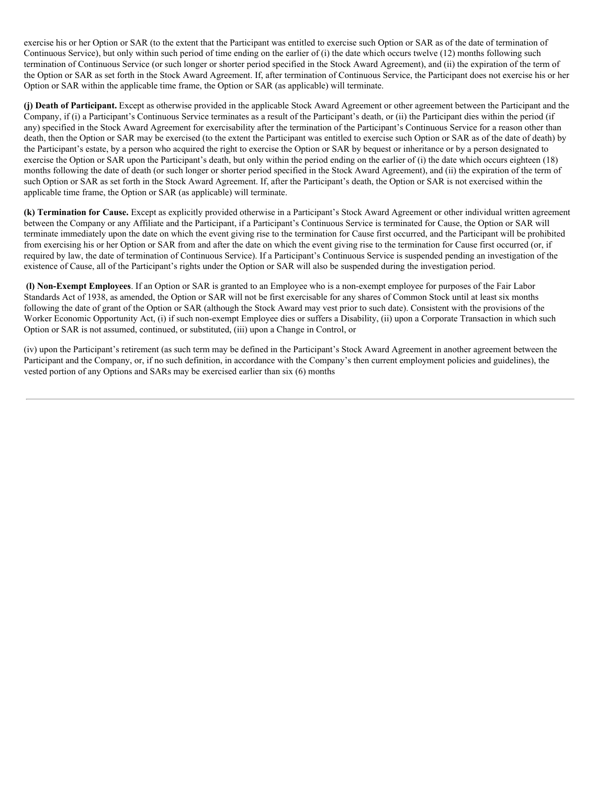exercise his or her Option or SAR (to the extent that the Participant was entitled to exercise such Option or SAR as of the date of termination of Continuous Service), but only within such period of time ending on the earlier of (i) the date which occurs twelve (12) months following such termination of Continuous Service (or such longer or shorter period specified in the Stock Award Agreement), and (ii) the expiration of the term of the Option or SAR as set forth in the Stock Award Agreement. If, after termination of Continuous Service, the Participant does not exercise his or her Option or SAR within the applicable time frame, the Option or SAR (as applicable) will terminate.

**(j) Death of Participant.** Except as otherwise provided in the applicable Stock Award Agreement or other agreement between the Participant and the Company, if (i) a Participant's Continuous Service terminates as a result of the Participant's death, or (ii) the Participant dies within the period (if any) specified in the Stock Award Agreement for exercisability after the termination of the Participant's Continuous Service for a reason other than death, then the Option or SAR may be exercised (to the extent the Participant was entitled to exercise such Option or SAR as of the date of death) by the Participant's estate, by a person who acquired the right to exercise the Option or SAR by bequest or inheritance or by a person designated to exercise the Option or SAR upon the Participant's death, but only within the period ending on the earlier of (i) the date which occurs eighteen (18) months following the date of death (or such longer or shorter period specified in the Stock Award Agreement), and (ii) the expiration of the term of such Option or SAR as set forth in the Stock Award Agreement. If, after the Participant's death, the Option or SAR is not exercised within the applicable time frame, the Option or SAR (as applicable) will terminate.

**(k) Termination for Cause.** Except as explicitly provided otherwise in a Participant's Stock Award Agreement or other individual written agreement between the Company or any Affiliate and the Participant, if a Participant's Continuous Service is terminated for Cause, the Option or SAR will terminate immediately upon the date on which the event giving rise to the termination for Cause first occurred, and the Participant will be prohibited from exercising his or her Option or SAR from and after the date on which the event giving rise to the termination for Cause first occurred (or, if required by law, the date of termination of Continuous Service). If a Participant's Continuous Service is suspended pending an investigation of the existence of Cause, all of the Participant's rights under the Option or SAR will also be suspended during the investigation period.

**(l) Non-Exempt Employees**. If an Option or SAR is granted to an Employee who is a non-exempt employee for purposes of the Fair Labor Standards Act of 1938, as amended, the Option or SAR will not be first exercisable for any shares of Common Stock until at least six months following the date of grant of the Option or SAR (although the Stock Award may vest prior to such date). Consistent with the provisions of the Worker Economic Opportunity Act, (i) if such non-exempt Employee dies or suffers a Disability, (ii) upon a Corporate Transaction in which such Option or SAR is not assumed, continued, or substituted, (iii) upon a Change in Control, or

(iv) upon the Participant's retirement (as such term may be defined in the Participant's Stock Award Agreement in another agreement between the Participant and the Company, or, if no such definition, in accordance with the Company's then current employment policies and guidelines), the vested portion of any Options and SARs may be exercised earlier than six (6) months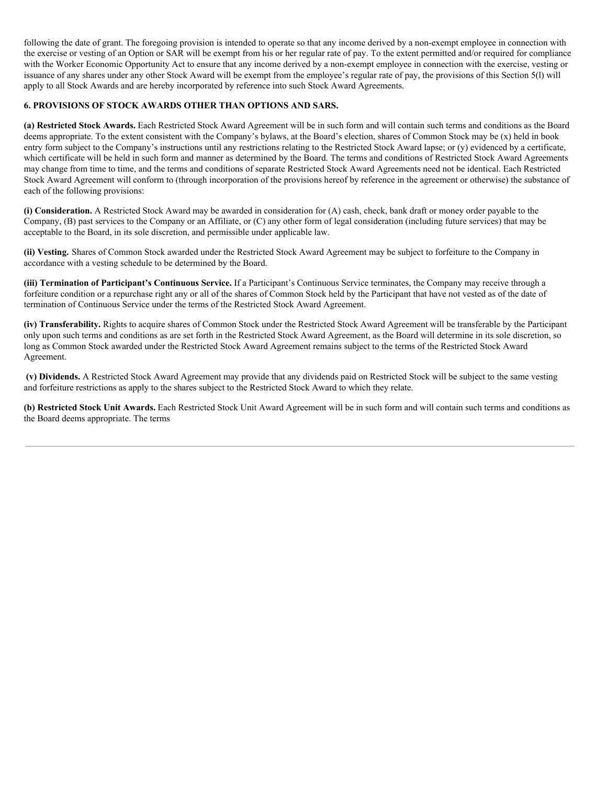following the date of grant. The foregoing provision is intended to operate so that any income derived by a non-exempt employee in connection with the exercise or vesting of an Option or SAR will be exempt from his or her regular rate of pay. To the extent permitted and/or required for compliance with the Worker Economic Opportunity Act to ensure that any income derived by a non-exempt employee in connection with the exercise, vesting or issuance of any shares under any other Stock Award will be exempt from the employee's regular rate of pay, the provisions of this Section 5(l) will apply to all Stock Awards and are hereby incorporated by reference into such Stock Award Agreements.

# **6. PROVISIONS OF STOCK AWARDS OTHER THAN OPTIONS AND SARS.**

**(a) Restricted Stock Awards.** Each Restricted Stock Award Agreement will be in such form and will contain such terms and conditions as the Board deems appropriate. To the extent consistent with the Company's bylaws, at the Board's election, shares of Common Stock may be (x) held in book entry form subject to the Company's instructions until any restrictions relating to the Restricted Stock Award lapse; or (y) evidenced by a certificate, which certificate will be held in such form and manner as determined by the Board. The terms and conditions of Restricted Stock Award Agreements may change from time to time, and the terms and conditions of separate Restricted Stock Award Agreements need not be identical. Each Restricted Stock Award Agreement will conform to (through incorporation of the provisions hereof by reference in the agreement or otherwise) the substance of each of the following provisions:

**(i) Consideration.** A Restricted Stock Award may be awarded in consideration for (A) cash, check, bank draft or money order payable to the Company, (B) past services to the Company or an Affiliate, or (C) any other form of legal consideration (including future services) that may be acceptable to the Board, in its sole discretion, and permissible under applicable law.

**(ii) Vesting.** Shares of Common Stock awarded under the Restricted Stock Award Agreement may be subject to forfeiture to the Company in accordance with a vesting schedule to be determined by the Board.

**(iii) Termination of Participant's Continuous Service.** If a Participant's Continuous Service terminates, the Company may receive through a forfeiture condition or a repurchase right any or all of the shares of Common Stock held by the Participant that have not vested as of the date of termination of Continuous Service under the terms of the Restricted Stock Award Agreement.

**(iv) Transferability.** Rights to acquire shares of Common Stock under the Restricted Stock Award Agreement will be transferable by the Participant only upon such terms and conditions as are set forth in the Restricted Stock Award Agreement, as the Board will determine in its sole discretion, so long as Common Stock awarded under the Restricted Stock Award Agreement remains subject to the terms of the Restricted Stock Award Agreement.

**(v) Dividends.** A Restricted Stock Award Agreement may provide that any dividends paid on Restricted Stock will be subject to the same vesting and forfeiture restrictions as apply to the shares subject to the Restricted Stock Award to which they relate.

**(b) Restricted Stock Unit Awards.** Each Restricted Stock Unit Award Agreement will be in such form and will contain such terms and conditions as the Board deems appropriate. The terms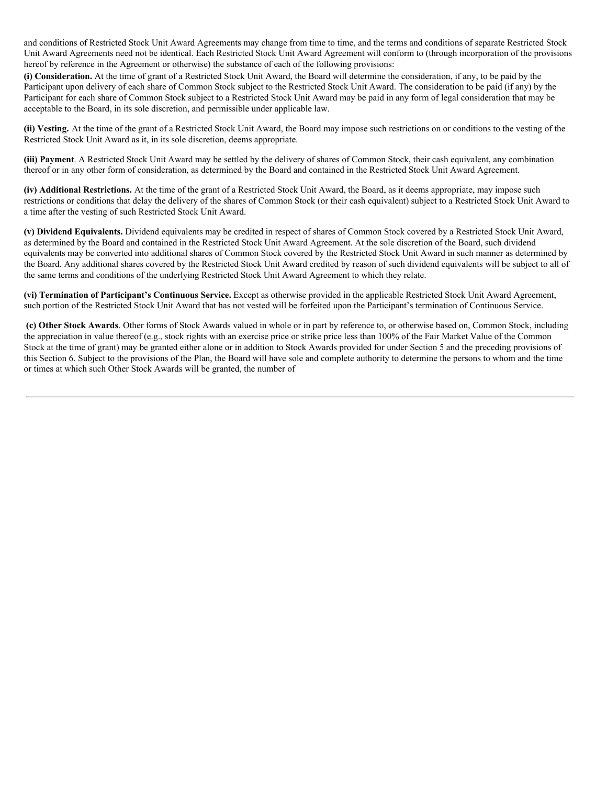and conditions of Restricted Stock Unit Award Agreements may change from time to time, and the terms and conditions of separate Restricted Stock Unit Award Agreements need not be identical. Each Restricted Stock Unit Award Agreement will conform to (through incorporation of the provisions hereof by reference in the Agreement or otherwise) the substance of each of the following provisions:

**(i) Consideration.** At the time of grant of a Restricted Stock Unit Award, the Board will determine the consideration, if any, to be paid by the Participant upon delivery of each share of Common Stock subject to the Restricted Stock Unit Award. The consideration to be paid (if any) by the Participant for each share of Common Stock subject to a Restricted Stock Unit Award may be paid in any form of legal consideration that may be acceptable to the Board, in its sole discretion, and permissible under applicable law.

**(ii) Vesting.** At the time of the grant of a Restricted Stock Unit Award, the Board may impose such restrictions on or conditions to the vesting of the Restricted Stock Unit Award as it, in its sole discretion, deems appropriate.

**(iii) Payment**. A Restricted Stock Unit Award may be settled by the delivery of shares of Common Stock, their cash equivalent, any combination thereof or in any other form of consideration, as determined by the Board and contained in the Restricted Stock Unit Award Agreement.

**(iv) Additional Restrictions.** At the time of the grant of a Restricted Stock Unit Award, the Board, as it deems appropriate, may impose such restrictions or conditions that delay the delivery of the shares of Common Stock (or their cash equivalent) subject to a Restricted Stock Unit Award to a time after the vesting of such Restricted Stock Unit Award.

**(v) Dividend Equivalents.** Dividend equivalents may be credited in respect of shares of Common Stock covered by a Restricted Stock Unit Award, as determined by the Board and contained in the Restricted Stock Unit Award Agreement. At the sole discretion of the Board, such dividend equivalents may be converted into additional shares of Common Stock covered by the Restricted Stock Unit Award in such manner as determined by the Board. Any additional shares covered by the Restricted Stock Unit Award credited by reason of such dividend equivalents will be subject to all of the same terms and conditions of the underlying Restricted Stock Unit Award Agreement to which they relate.

**(vi) Termination of Participant's Continuous Service.** Except as otherwise provided in the applicable Restricted Stock Unit Award Agreement, such portion of the Restricted Stock Unit Award that has not vested will be forfeited upon the Participant's termination of Continuous Service.

**(c) Other Stock Awards**. Other forms of Stock Awards valued in whole or in part by reference to, or otherwise based on, Common Stock, including the appreciation in value thereof (e.g., stock rights with an exercise price or strike price less than 100% of the Fair Market Value of the Common Stock at the time of grant) may be granted either alone or in addition to Stock Awards provided for under Section 5 and the preceding provisions of this Section 6. Subject to the provisions of the Plan, the Board will have sole and complete authority to determine the persons to whom and the time or times at which such Other Stock Awards will be granted, the number of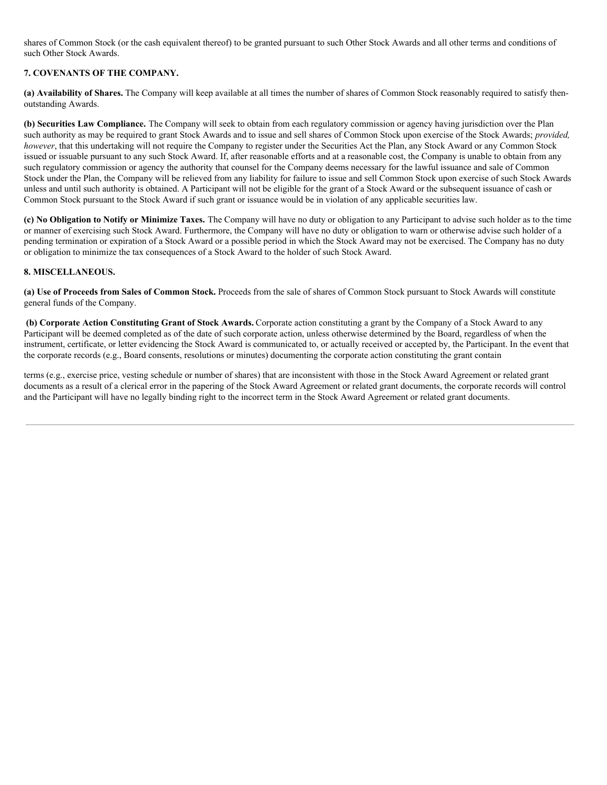shares of Common Stock (or the cash equivalent thereof) to be granted pursuant to such Other Stock Awards and all other terms and conditions of such Other Stock Awards.

# **7. COVENANTS OF THE COMPANY.**

**(a) Availability of Shares.** The Company will keep available at all times the number of shares of Common Stock reasonably required to satisfy thenoutstanding Awards.

**(b) Securities Law Compliance.** The Company will seek to obtain from each regulatory commission or agency having jurisdiction over the Plan such authority as may be required to grant Stock Awards and to issue and sell shares of Common Stock upon exercise of the Stock Awards; *provided, however*, that this undertaking will not require the Company to register under the Securities Act the Plan, any Stock Award or any Common Stock issued or issuable pursuant to any such Stock Award. If, after reasonable efforts and at a reasonable cost, the Company is unable to obtain from any such regulatory commission or agency the authority that counsel for the Company deems necessary for the lawful issuance and sale of Common Stock under the Plan, the Company will be relieved from any liability for failure to issue and sell Common Stock upon exercise of such Stock Awards unless and until such authority is obtained. A Participant will not be eligible for the grant of a Stock Award or the subsequent issuance of cash or Common Stock pursuant to the Stock Award if such grant or issuance would be in violation of any applicable securities law.

**(c) No Obligation to Notify or Minimize Taxes.** The Company will have no duty or obligation to any Participant to advise such holder as to the time or manner of exercising such Stock Award. Furthermore, the Company will have no duty or obligation to warn or otherwise advise such holder of a pending termination or expiration of a Stock Award or a possible period in which the Stock Award may not be exercised. The Company has no duty or obligation to minimize the tax consequences of a Stock Award to the holder of such Stock Award.

## **8. MISCELLANEOUS.**

**(a) Use of Proceeds from Sales of Common Stock.** Proceeds from the sale of shares of Common Stock pursuant to Stock Awards will constitute general funds of the Company.

**(b) Corporate Action Constituting Grant of Stock Awards.** Corporate action constituting a grant by the Company of a Stock Award to any Participant will be deemed completed as of the date of such corporate action, unless otherwise determined by the Board, regardless of when the instrument, certificate, or letter evidencing the Stock Award is communicated to, or actually received or accepted by, the Participant. In the event that the corporate records (e.g., Board consents, resolutions or minutes) documenting the corporate action constituting the grant contain

terms (e.g., exercise price, vesting schedule or number of shares) that are inconsistent with those in the Stock Award Agreement or related grant documents as a result of a clerical error in the papering of the Stock Award Agreement or related grant documents, the corporate records will control and the Participant will have no legally binding right to the incorrect term in the Stock Award Agreement or related grant documents.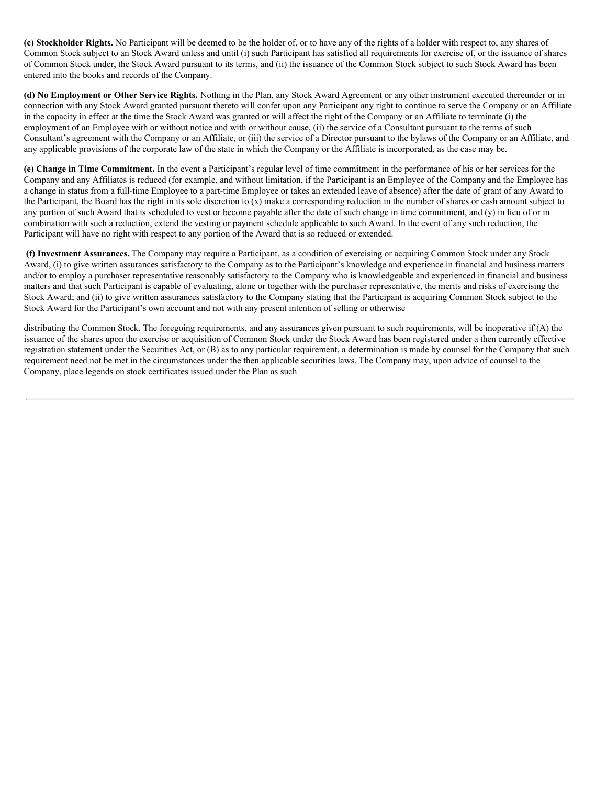**(c) Stockholder Rights.** No Participant will be deemed to be the holder of, or to have any of the rights of a holder with respect to, any shares of Common Stock subject to an Stock Award unless and until (i) such Participant has satisfied all requirements for exercise of, or the issuance of shares of Common Stock under, the Stock Award pursuant to its terms, and (ii) the issuance of the Common Stock subject to such Stock Award has been entered into the books and records of the Company.

**(d) No Employment or Other Service Rights.** Nothing in the Plan, any Stock Award Agreement or any other instrument executed thereunder or in connection with any Stock Award granted pursuant thereto will confer upon any Participant any right to continue to serve the Company or an Affiliate in the capacity in effect at the time the Stock Award was granted or will affect the right of the Company or an Affiliate to terminate (i) the employment of an Employee with or without notice and with or without cause, (ii) the service of a Consultant pursuant to the terms of such Consultant's agreement with the Company or an Affiliate, or (iii) the service of a Director pursuant to the bylaws of the Company or an Affiliate, and any applicable provisions of the corporate law of the state in which the Company or the Affiliate is incorporated, as the case may be.

**(e) Change in Time Commitment.** In the event a Participant's regular level of time commitment in the performance of his or her services for the Company and any Affiliates is reduced (for example, and without limitation, if the Participant is an Employee of the Company and the Employee has a change in status from a full-time Employee to a part-time Employee or takes an extended leave of absence) after the date of grant of any Award to the Participant, the Board has the right in its sole discretion to  $(x)$  make a corresponding reduction in the number of shares or cash amount subject to any portion of such Award that is scheduled to vest or become payable after the date of such change in time commitment, and (y) in lieu of or in combination with such a reduction, extend the vesting or payment schedule applicable to such Award. In the event of any such reduction, the Participant will have no right with respect to any portion of the Award that is so reduced or extended.

**(f) Investment Assurances.** The Company may require a Participant, as a condition of exercising or acquiring Common Stock under any Stock Award, (i) to give written assurances satisfactory to the Company as to the Participant's knowledge and experience in financial and business matters and/or to employ a purchaser representative reasonably satisfactory to the Company who is knowledgeable and experienced in financial and business matters and that such Participant is capable of evaluating, alone or together with the purchaser representative, the merits and risks of exercising the Stock Award; and (ii) to give written assurances satisfactory to the Company stating that the Participant is acquiring Common Stock subject to the Stock Award for the Participant's own account and not with any present intention of selling or otherwise

distributing the Common Stock. The foregoing requirements, and any assurances given pursuant to such requirements, will be inoperative if (A) the issuance of the shares upon the exercise or acquisition of Common Stock under the Stock Award has been registered under a then currently effective registration statement under the Securities Act, or (B) as to any particular requirement, a determination is made by counsel for the Company that such requirement need not be met in the circumstances under the then applicable securities laws. The Company may, upon advice of counsel to the Company, place legends on stock certificates issued under the Plan as such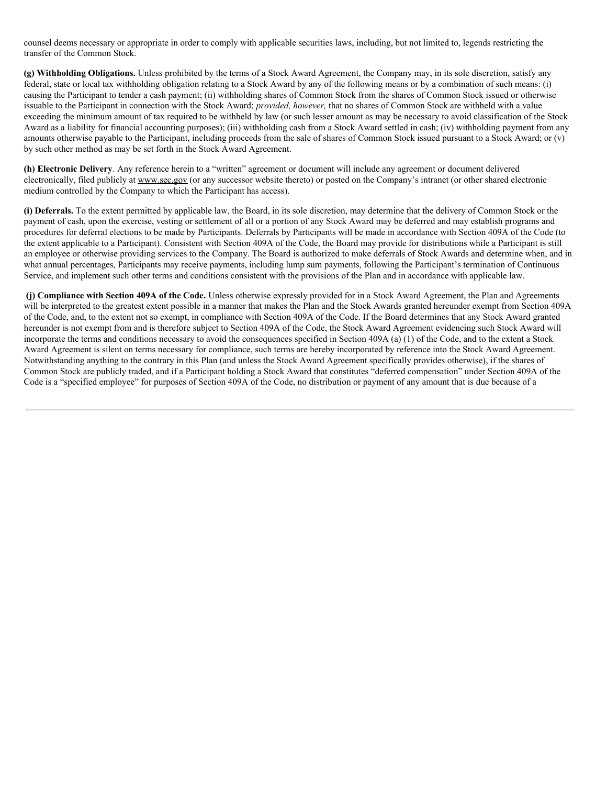counsel deems necessary or appropriate in order to comply with applicable securities laws, including, but not limited to, legends restricting the transfer of the Common Stock.

**(g) Withholding Obligations.** Unless prohibited by the terms of a Stock Award Agreement, the Company may, in its sole discretion, satisfy any federal, state or local tax withholding obligation relating to a Stock Award by any of the following means or by a combination of such means: (i) causing the Participant to tender a cash payment; (ii) withholding shares of Common Stock from the shares of Common Stock issued or otherwise issuable to the Participant in connection with the Stock Award; *provided, however,* that no shares of Common Stock are withheld with a value exceeding the minimum amount of tax required to be withheld by law (or such lesser amount as may be necessary to avoid classification of the Stock Award as a liability for financial accounting purposes); (iii) withholding cash from a Stock Award settled in cash; (iv) withholding payment from any amounts otherwise payable to the Participant, including proceeds from the sale of shares of Common Stock issued pursuant to a Stock Award; or (v) by such other method as may be set forth in the Stock Award Agreement.

**(h) Electronic Delivery**. Any reference herein to a "written" agreement or document will include any agreement or document delivered electronically, filed publicly at www.sec.gov (or any successor website thereto) or posted on the Company's intranet (or other shared electronic medium controlled by the Company to which the Participant has access).

**(i) Deferrals.** To the extent permitted by applicable law, the Board, in its sole discretion, may determine that the delivery of Common Stock or the payment of cash, upon the exercise, vesting or settlement of all or a portion of any Stock Award may be deferred and may establish programs and procedures for deferral elections to be made by Participants. Deferrals by Participants will be made in accordance with Section 409A of the Code (to the extent applicable to a Participant). Consistent with Section 409A of the Code, the Board may provide for distributions while a Participant is still an employee or otherwise providing services to the Company. The Board is authorized to make deferrals of Stock Awards and determine when, and in what annual percentages, Participants may receive payments, including lump sum payments, following the Participant's termination of Continuous Service, and implement such other terms and conditions consistent with the provisions of the Plan and in accordance with applicable law.

**(j) Compliance with Section 409A of the Code.** Unless otherwise expressly provided for in a Stock Award Agreement, the Plan and Agreements will be interpreted to the greatest extent possible in a manner that makes the Plan and the Stock Awards granted hereunder exempt from Section 409A of the Code, and, to the extent not so exempt, in compliance with Section 409A of the Code. If the Board determines that any Stock Award granted hereunder is not exempt from and is therefore subject to Section 409A of the Code, the Stock Award Agreement evidencing such Stock Award will incorporate the terms and conditions necessary to avoid the consequences specified in Section 409A (a) (1) of the Code, and to the extent a Stock Award Agreement is silent on terms necessary for compliance, such terms are hereby incorporated by reference into the Stock Award Agreement. Notwithstanding anything to the contrary in this Plan (and unless the Stock Award Agreement specifically provides otherwise), if the shares of Common Stock are publicly traded, and if a Participant holding a Stock Award that constitutes "deferred compensation" under Section 409A of the Code is a "specified employee" for purposes of Section 409A of the Code, no distribution or payment of any amount that is due because of a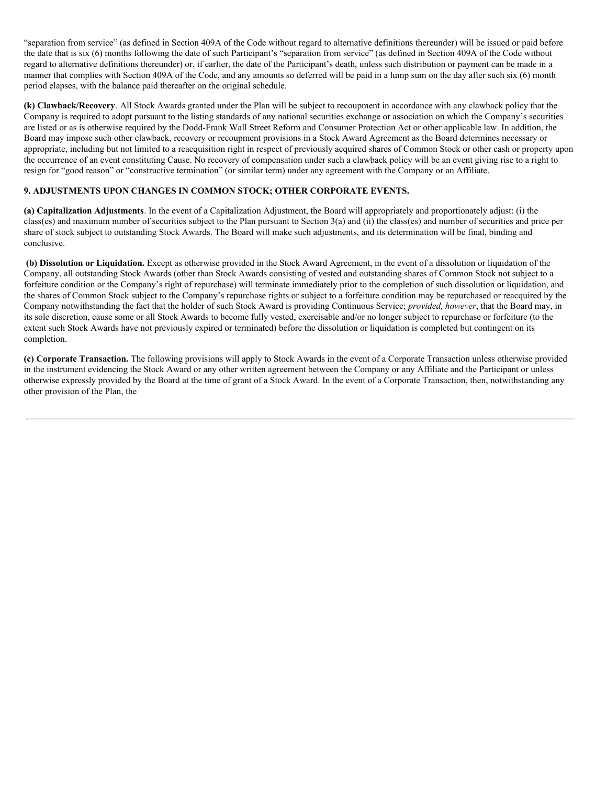<span id="page-19-0"></span>"separation from service" (as defined in Section 409A of the Code without regard to alternative definitions thereunder) will be issued or paid before the date that is six (6) months following the date of such Participant's "separation from service" (as defined in Section 409A of the Code without regard to alternative definitions thereunder) or, if earlier, the date of the Participant's death, unless such distribution or payment can be made in a manner that complies with Section 409A of the Code, and any amounts so deferred will be paid in a lump sum on the day after such six (6) month period elapses, with the balance paid thereafter on the original schedule.

**(k) Clawback/Recovery**. All Stock Awards granted under the Plan will be subject to recoupment in accordance with any clawback policy that the Company is required to adopt pursuant to the listing standards of any national securities exchange or association on which the Company's securities are listed or as is otherwise required by the Dodd-Frank Wall Street Reform and Consumer Protection Act or other applicable law. In addition, the Board may impose such other clawback, recovery or recoupment provisions in a Stock Award Agreement as the Board determines necessary or appropriate, including but not limited to a reacquisition right in respect of previously acquired shares of Common Stock or other cash or property upon the occurrence of an event constituting Cause. No recovery of compensation under such a clawback policy will be an event giving rise to a right to resign for "good reason" or "constructive termination" (or similar term) under any agreement with the Company or an Affiliate.

# **9. ADJUSTMENTS UPON CHANGES IN COMMON STOCK; OTHER CORPORATE EVENTS.**

**(a) Capitalization Adjustments**. In the event of a Capitalization Adjustment, the Board will appropriately and proportionately adjust: (i) the class(es) and maximum number of securities subject to the Plan pursuant to Section 3(a) and (ii) the class(es) and number of securities and price per share of stock subject to outstanding Stock Awards. The Board will make such adjustments, and its determination will be final, binding and conclusive.

**(b) Dissolution or Liquidation.** Except as otherwise provided in the Stock Award Agreement, in the event of a dissolution or liquidation of the Company, all outstanding Stock Awards (other than Stock Awards consisting of vested and outstanding shares of Common Stock not subject to a forfeiture condition or the Company's right of repurchase) will terminate immediately prior to the completion of such dissolution or liquidation, and the shares of Common Stock subject to the Company's repurchase rights or subject to a forfeiture condition may be repurchased or reacquired by the Company notwithstanding the fact that the holder of such Stock Award is providing Continuous Service; *provided, however*, that the Board may, in its sole discretion, cause some or all Stock Awards to become fully vested, exercisable and/or no longer subject to repurchase or forfeiture (to the extent such Stock Awards have not previously expired or terminated) before the dissolution or liquidation is completed but contingent on its completion.

**(c) Corporate Transaction.** The following provisions will apply to Stock Awards in the event of a Corporate Transaction unless otherwise provided in the instrument evidencing the Stock Award or any other written agreement between the Company or any Affiliate and the Participant or unless otherwise expressly provided by the Board at the time of grant of a Stock Award. In the event of a Corporate Transaction, then, notwithstanding any other provision of the Plan, the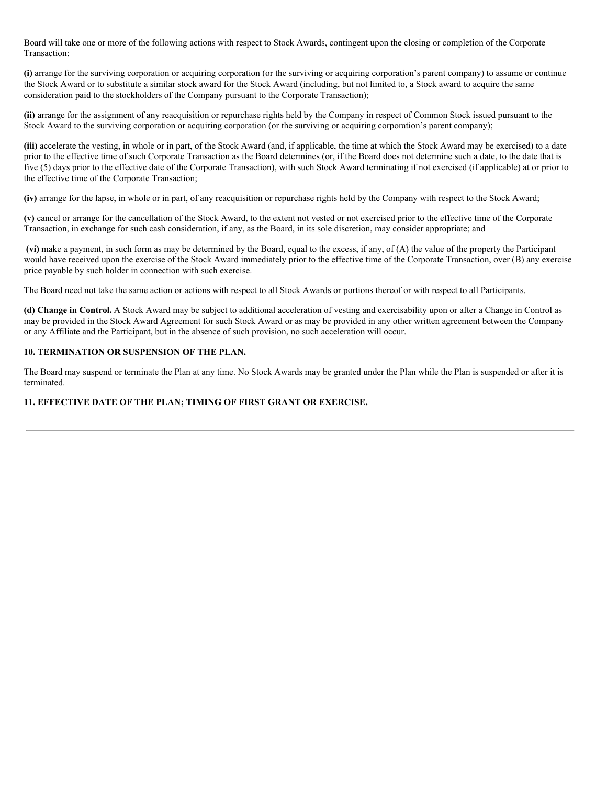Board will take one or more of the following actions with respect to Stock Awards, contingent upon the closing or completion of the Corporate Transaction:

**(i)** arrange for the surviving corporation or acquiring corporation (or the surviving or acquiring corporation's parent company) to assume or continue the Stock Award or to substitute a similar stock award for the Stock Award (including, but not limited to, a Stock award to acquire the same consideration paid to the stockholders of the Company pursuant to the Corporate Transaction);

**(ii)** arrange for the assignment of any reacquisition or repurchase rights held by the Company in respect of Common Stock issued pursuant to the Stock Award to the surviving corporation or acquiring corporation (or the surviving or acquiring corporation's parent company);

**(iii)** accelerate the vesting, in whole or in part, of the Stock Award (and, if applicable, the time at which the Stock Award may be exercised) to a date prior to the effective time of such Corporate Transaction as the Board determines (or, if the Board does not determine such a date, to the date that is five (5) days prior to the effective date of the Corporate Transaction), with such Stock Award terminating if not exercised (if applicable) at or prior to the effective time of the Corporate Transaction;

**(iv)** arrange for the lapse, in whole or in part, of any reacquisition or repurchase rights held by the Company with respect to the Stock Award;

**(v)** cancel or arrange for the cancellation of the Stock Award, to the extent not vested or not exercised prior to the effective time of the Corporate Transaction, in exchange for such cash consideration, if any, as the Board, in its sole discretion, may consider appropriate; and

**(vi)** make a payment, in such form as may be determined by the Board, equal to the excess, if any, of (A) the value of the property the Participant would have received upon the exercise of the Stock Award immediately prior to the effective time of the Corporate Transaction, over (B) any exercise price payable by such holder in connection with such exercise.

The Board need not take the same action or actions with respect to all Stock Awards or portions thereof or with respect to all Participants.

**(d) Change in Control.** A Stock Award may be subject to additional acceleration of vesting and exercisability upon or after a Change in Control as may be provided in the Stock Award Agreement for such Stock Award or as may be provided in any other written agreement between the Company or any Affiliate and the Participant, but in the absence of such provision, no such acceleration will occur.

# **10. TERMINATION OR SUSPENSION OF THE PLAN.**

The Board may suspend or terminate the Plan at any time. No Stock Awards may be granted under the Plan while the Plan is suspended or after it is terminated.

## **11. EFFECTIVE DATE OF THE PLAN; TIMING OF FIRST GRANT OR EXERCISE.**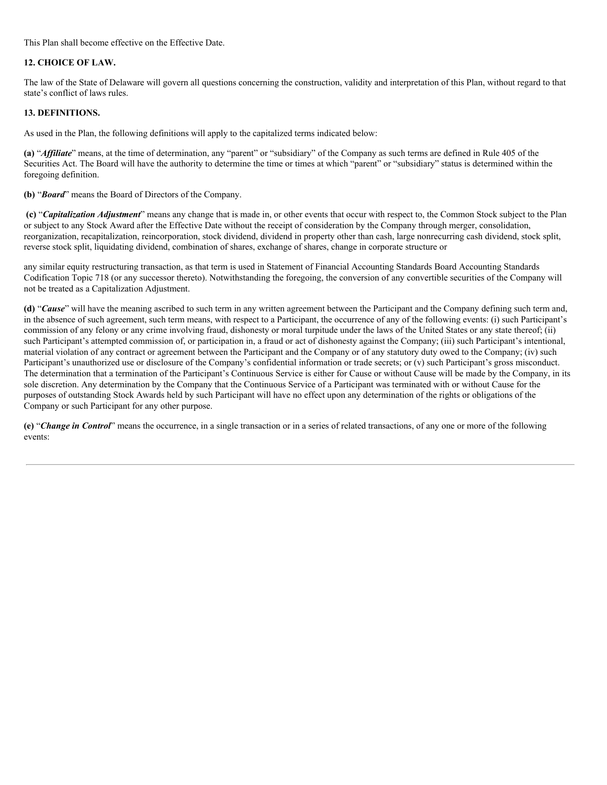This Plan shall become effective on the Effective Date.

#### **12. CHOICE OF LAW.**

The law of the State of Delaware will govern all questions concerning the construction, validity and interpretation of this Plan, without regard to that state's conflict of laws rules.

#### **13. DEFINITIONS.**

As used in the Plan, the following definitions will apply to the capitalized terms indicated below:

**(a)** "*Af iliate*" means, at the time of determination, any "parent" or "subsidiary" of the Company as such terms are defined in Rule 405 of the Securities Act. The Board will have the authority to determine the time or times at which "parent" or "subsidiary" status is determined within the foregoing definition.

**(b)** "*Board*" means the Board of Directors of the Company.

**(c)** "*Capitalization Adjustment*" means any change that is made in, or other events that occur with respect to, the Common Stock subject to the Plan or subject to any Stock Award after the Effective Date without the receipt of consideration by the Company through merger, consolidation, reorganization, recapitalization, reincorporation, stock dividend, dividend in property other than cash, large nonrecurring cash dividend, stock split, reverse stock split, liquidating dividend, combination of shares, exchange of shares, change in corporate structure or

any similar equity restructuring transaction, as that term is used in Statement of Financial Accounting Standards Board Accounting Standards Codification Topic 718 (or any successor thereto). Notwithstanding the foregoing, the conversion of any convertible securities of the Company will not be treated as a Capitalization Adjustment.

**(d)** "*Cause*" will have the meaning ascribed to such term in any written agreement between the Participant and the Company defining such term and, in the absence of such agreement, such term means, with respect to a Participant, the occurrence of any of the following events: (i) such Participant's commission of any felony or any crime involving fraud, dishonesty or moral turpitude under the laws of the United States or any state thereof; (ii) such Participant's attempted commission of, or participation in, a fraud or act of dishonesty against the Company; (iii) such Participant's intentional, material violation of any contract or agreement between the Participant and the Company or of any statutory duty owed to the Company; (iv) such Participant's unauthorized use or disclosure of the Company's confidential information or trade secrets; or (v) such Participant's gross misconduct. The determination that a termination of the Participant's Continuous Service is either for Cause or without Cause will be made by the Company, in its sole discretion. Any determination by the Company that the Continuous Service of a Participant was terminated with or without Cause for the purposes of outstanding Stock Awards held by such Participant will have no effect upon any determination of the rights or obligations of the Company or such Participant for any other purpose.

**(e)** "*Change in Control*" means the occurrence, in a single transaction or in a series of related transactions, of any one or more of the following events: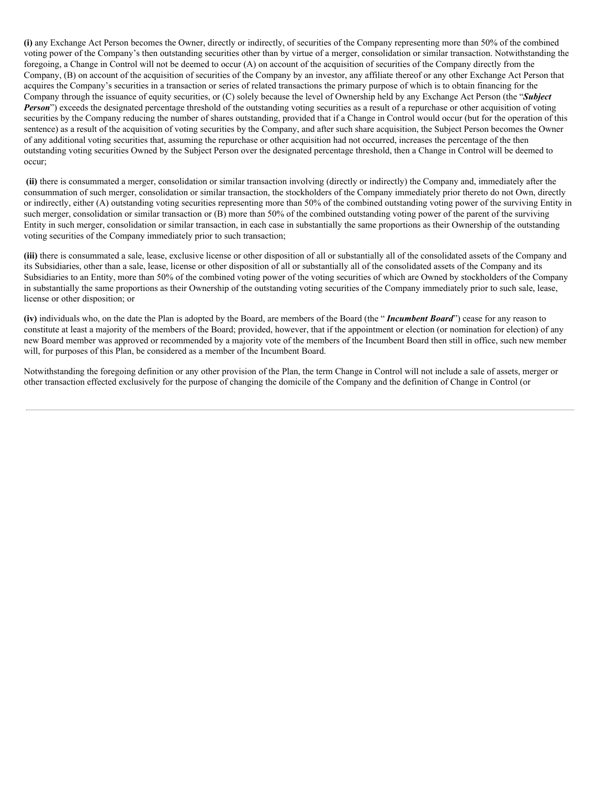**(i)** any Exchange Act Person becomes the Owner, directly or indirectly, of securities of the Company representing more than 50% of the combined voting power of the Company's then outstanding securities other than by virtue of a merger, consolidation or similar transaction. Notwithstanding the foregoing, a Change in Control will not be deemed to occur (A) on account of the acquisition of securities of the Company directly from the Company, (B) on account of the acquisition of securities of the Company by an investor, any affiliate thereof or any other Exchange Act Person that acquires the Company's securities in a transaction or series of related transactions the primary purpose of which is to obtain financing for the Company through the issuance of equity securities, or (C) solely because the level of Ownership held by any Exchange Act Person (the "*Subject Person*") exceeds the designated percentage threshold of the outstanding voting securities as a result of a repurchase or other acquisition of voting securities by the Company reducing the number of shares outstanding, provided that if a Change in Control would occur (but for the operation of this sentence) as a result of the acquisition of voting securities by the Company, and after such share acquisition, the Subject Person becomes the Owner of any additional voting securities that, assuming the repurchase or other acquisition had not occurred, increases the percentage of the then outstanding voting securities Owned by the Subject Person over the designated percentage threshold, then a Change in Control will be deemed to occur;

**(ii)** there is consummated a merger, consolidation or similar transaction involving (directly or indirectly) the Company and, immediately after the consummation of such merger, consolidation or similar transaction, the stockholders of the Company immediately prior thereto do not Own, directly or indirectly, either (A) outstanding voting securities representing more than 50% of the combined outstanding voting power of the surviving Entity in such merger, consolidation or similar transaction or (B) more than 50% of the combined outstanding voting power of the parent of the surviving Entity in such merger, consolidation or similar transaction, in each case in substantially the same proportions as their Ownership of the outstanding voting securities of the Company immediately prior to such transaction;

**(iii)** there is consummated a sale, lease, exclusive license or other disposition of all or substantially all of the consolidated assets of the Company and its Subsidiaries, other than a sale, lease, license or other disposition of all or substantially all of the consolidated assets of the Company and its Subsidiaries to an Entity, more than 50% of the combined voting power of the voting securities of which are Owned by stockholders of the Company in substantially the same proportions as their Ownership of the outstanding voting securities of the Company immediately prior to such sale, lease, license or other disposition; or

**(iv)** individuals who, on the date the Plan is adopted by the Board, are members of the Board (the " *Incumbent Board*") cease for any reason to constitute at least a majority of the members of the Board; provided, however, that if the appointment or election (or nomination for election) of any new Board member was approved or recommended by a majority vote of the members of the Incumbent Board then still in office, such new member will, for purposes of this Plan, be considered as a member of the Incumbent Board.

Notwithstanding the foregoing definition or any other provision of the Plan, the term Change in Control will not include a sale of assets, merger or other transaction effected exclusively for the purpose of changing the domicile of the Company and the definition of Change in Control (or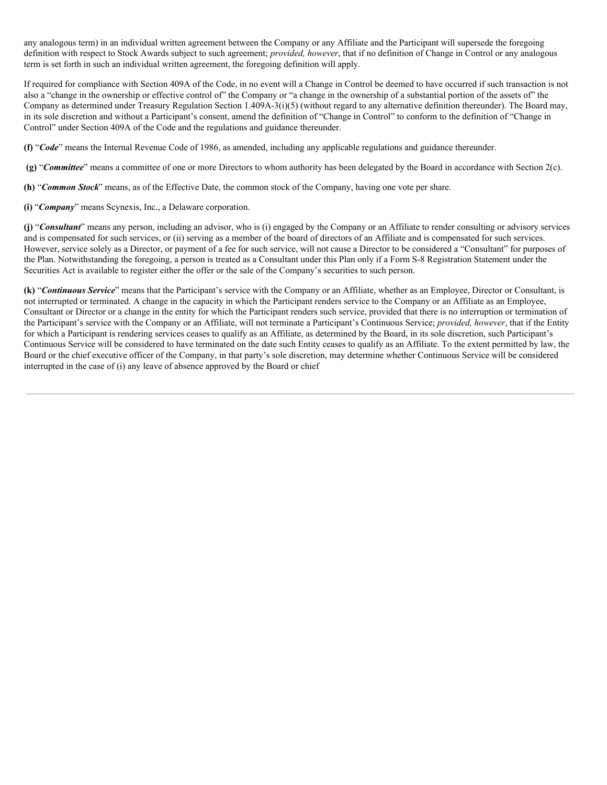any analogous term) in an individual written agreement between the Company or any Affiliate and the Participant will supersede the foregoing definition with respect to Stock Awards subject to such agreement; *provided, however*, that if no definition of Change in Control or any analogous term is set forth in such an individual written agreement, the foregoing definition will apply.

If required for compliance with Section 409A of the Code, in no event will a Change in Control be deemed to have occurred if such transaction is not also a "change in the ownership or effective control of" the Company or "a change in the ownership of a substantial portion of the assets of" the Company as determined under Treasury Regulation Section 1.409A-3(i)(5) (without regard to any alternative definition thereunder). The Board may, in its sole discretion and without a Participant's consent, amend the definition of "Change in Control" to conform to the definition of "Change in Control" under Section 409A of the Code and the regulations and guidance thereunder.

**(f)** "*Code*" means the Internal Revenue Code of 1986, as amended, including any applicable regulations and guidance thereunder.

**(g)** "*Committee*" means a committee of one or more Directors to whom authority has been delegated by the Board in accordance with Section 2(c).

**(h)** "*Common Stock*" means, as of the Effective Date, the common stock of the Company, having one vote per share.

**(i)** "*Company*" means Scynexis, Inc., a Delaware corporation.

**(j)** "*Consultant*" means any person, including an advisor, who is (i) engaged by the Company or an Affiliate to render consulting or advisory services and is compensated for such services, or (ii) serving as a member of the board of directors of an Affiliate and is compensated for such services. However, service solely as a Director, or payment of a fee for such service, will not cause a Director to be considered a "Consultant" for purposes of the Plan. Notwithstanding the foregoing, a person is treated as a Consultant under this Plan only if a Form S-8 Registration Statement under the Securities Act is available to register either the offer or the sale of the Company's securities to such person.

**(k)** "*Continuous Service*" means that the Participant's service with the Company or an Affiliate, whether as an Employee, Director or Consultant, is not interrupted or terminated. A change in the capacity in which the Participant renders service to the Company or an Affiliate as an Employee, Consultant or Director or a change in the entity for which the Participant renders such service, provided that there is no interruption or termination of the Participant's service with the Company or an Affiliate, will not terminate a Participant's Continuous Service; *provided, however*, that if the Entity for which a Participant is rendering services ceases to qualify as an Affiliate, as determined by the Board, in its sole discretion, such Participant's Continuous Service will be considered to have terminated on the date such Entity ceases to qualify as an Affiliate. To the extent permitted by law, the Board or the chief executive officer of the Company, in that party's sole discretion, may determine whether Continuous Service will be considered interrupted in the case of (i) any leave of absence approved by the Board or chief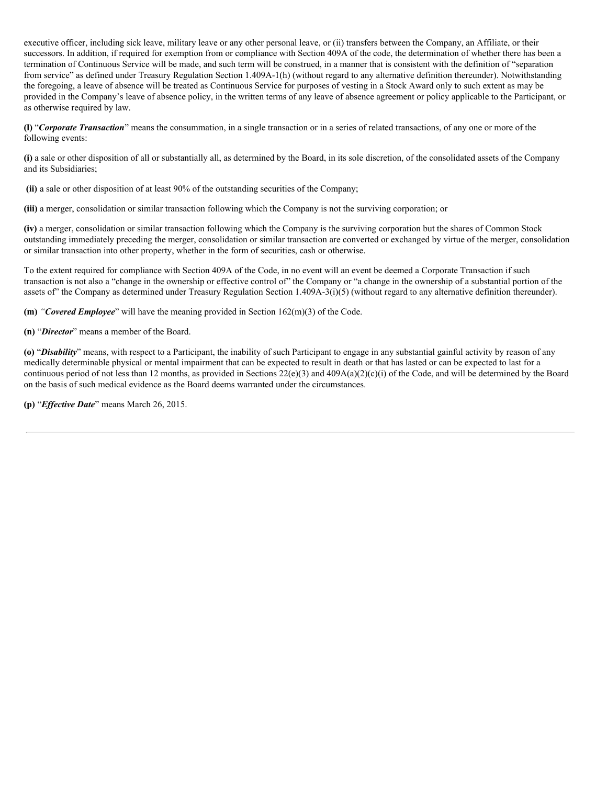executive officer, including sick leave, military leave or any other personal leave, or (ii) transfers between the Company, an Affiliate, or their successors. In addition, if required for exemption from or compliance with Section 409A of the code, the determination of whether there has been a termination of Continuous Service will be made, and such term will be construed, in a manner that is consistent with the definition of "separation from service" as defined under Treasury Regulation Section 1.409A-1(h) (without regard to any alternative definition thereunder). Notwithstanding the foregoing, a leave of absence will be treated as Continuous Service for purposes of vesting in a Stock Award only to such extent as may be provided in the Company's leave of absence policy, in the written terms of any leave of absence agreement or policy applicable to the Participant, or as otherwise required by law.

**(l)** "*Corporate Transaction*" means the consummation, in a single transaction or in a series of related transactions, of any one or more of the following events:

**(i)** a sale or other disposition of all or substantially all, as determined by the Board, in its sole discretion, of the consolidated assets of the Company and its Subsidiaries;

**(ii)** a sale or other disposition of at least 90% of the outstanding securities of the Company;

**(iii)** a merger, consolidation or similar transaction following which the Company is not the surviving corporation; or

**(iv)** a merger, consolidation or similar transaction following which the Company is the surviving corporation but the shares of Common Stock outstanding immediately preceding the merger, consolidation or similar transaction are converted or exchanged by virtue of the merger, consolidation or similar transaction into other property, whether in the form of securities, cash or otherwise.

To the extent required for compliance with Section 409A of the Code, in no event will an event be deemed a Corporate Transaction if such transaction is not also a "change in the ownership or effective control of" the Company or "a change in the ownership of a substantial portion of the assets of" the Company as determined under Treasury Regulation Section 1.409A-3(i)(5) (without regard to any alternative definition thereunder).

**(m)** *"Covered Employee*" will have the meaning provided in Section 162(m)(3) of the Code.

**(n)** "*Director*" means a member of the Board.

**(o)** "*Disability*" means, with respect to a Participant, the inability of such Participant to engage in any substantial gainful activity by reason of any medically determinable physical or mental impairment that can be expected to result in death or that has lasted or can be expected to last for a continuous period of not less than 12 months, as provided in Sections  $22(e)(3)$  and  $409A(a)(2)(c)(i)$  of the Code, and will be determined by the Board on the basis of such medical evidence as the Board deems warranted under the circumstances.

**(p)** "*Ef ective Date*" means March 26, 2015.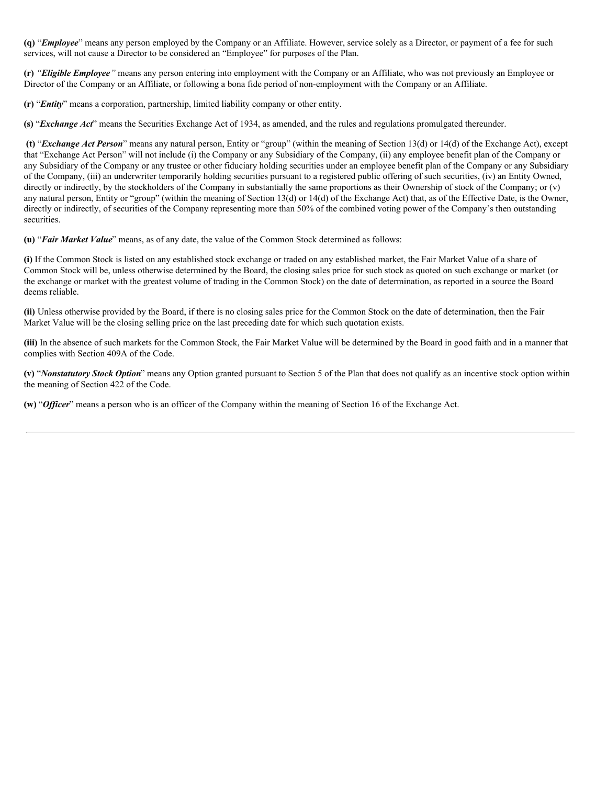**(q)** "*Employee*" means any person employed by the Company or an Affiliate. However, service solely as a Director, or payment of a fee for such services, will not cause a Director to be considered an "Employee" for purposes of the Plan.

**(r)** *"Eligible Employee"* means any person entering into employment with the Company or an Affiliate, who was not previously an Employee or Director of the Company or an Affiliate, or following a bona fide period of non-employment with the Company or an Affiliate.

**(r)** "*Entity*" means a corporation, partnership, limited liability company or other entity.

**(s)** "*Exchange Act*" means the Securities Exchange Act of 1934, as amended, and the rules and regulations promulgated thereunder.

**(t)** "*Exchange Act Person*" means any natural person, Entity or "group" (within the meaning of Section 13(d) or 14(d) of the Exchange Act), except that "Exchange Act Person" will not include (i) the Company or any Subsidiary of the Company, (ii) any employee benefit plan of the Company or any Subsidiary of the Company or any trustee or other fiduciary holding securities under an employee benefit plan of the Company or any Subsidiary of the Company, (iii) an underwriter temporarily holding securities pursuant to a registered public offering of such securities, (iv) an Entity Owned, directly or indirectly, by the stockholders of the Company in substantially the same proportions as their Ownership of stock of the Company; or (v) any natural person, Entity or "group" (within the meaning of Section 13(d) or 14(d) of the Exchange Act) that, as of the Effective Date, is the Owner, directly or indirectly, of securities of the Company representing more than 50% of the combined voting power of the Company's then outstanding securities.

**(u)** "*Fair Market Value*" means, as of any date, the value of the Common Stock determined as follows:

**(i)** If the Common Stock is listed on any established stock exchange or traded on any established market, the Fair Market Value of a share of Common Stock will be, unless otherwise determined by the Board, the closing sales price for such stock as quoted on such exchange or market (or the exchange or market with the greatest volume of trading in the Common Stock) on the date of determination, as reported in a source the Board deems reliable.

**(ii)** Unless otherwise provided by the Board, if there is no closing sales price for the Common Stock on the date of determination, then the Fair Market Value will be the closing selling price on the last preceding date for which such quotation exists.

**(iii)** In the absence of such markets for the Common Stock, the Fair Market Value will be determined by the Board in good faith and in a manner that complies with Section 409A of the Code.

**(v)** "*Nonstatutory Stock Option*" means any Option granted pursuant to Section 5 of the Plan that does not qualify as an incentive stock option within the meaning of Section 422 of the Code.

**(w)** "*Of icer*" means a person who is an officer of the Company within the meaning of Section 16 of the Exchange Act.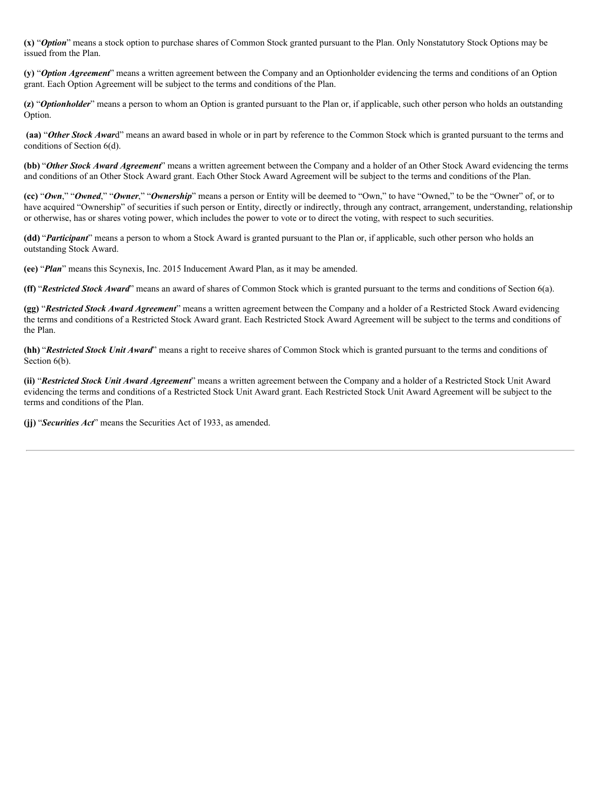**(x)** "*Option*" means a stock option to purchase shares of Common Stock granted pursuant to the Plan. Only Nonstatutory Stock Options may be issued from the Plan.

**(y)** "*Option Agreement*" means a written agreement between the Company and an Optionholder evidencing the terms and conditions of an Option grant. Each Option Agreement will be subject to the terms and conditions of the Plan.

**(z)** "*Optionholder*" means a person to whom an Option is granted pursuant to the Plan or, if applicable, such other person who holds an outstanding Option.

**(aa)** "*Other Stock Awar*d" means an award based in whole or in part by reference to the Common Stock which is granted pursuant to the terms and conditions of Section 6(d).

**(bb)** "*Other Stock Award Agreement*" means a written agreement between the Company and a holder of an Other Stock Award evidencing the terms and conditions of an Other Stock Award grant. Each Other Stock Award Agreement will be subject to the terms and conditions of the Plan.

**(cc)** "*Own*," "*Owned*," "*Owner*," "*Ownership*" means a person or Entity will be deemed to "Own," to have "Owned," to be the "Owner" of, or to have acquired "Ownership" of securities if such person or Entity, directly or indirectly, through any contract, arrangement, understanding, relationship or otherwise, has or shares voting power, which includes the power to vote or to direct the voting, with respect to such securities.

**(dd)** "*Participant*" means a person to whom a Stock Award is granted pursuant to the Plan or, if applicable, such other person who holds an outstanding Stock Award.

**(ee)** "*Plan*" means this Scynexis, Inc. 2015 Inducement Award Plan, as it may be amended.

**(ff)** "*Restricted Stock Award*" means an award of shares of Common Stock which is granted pursuant to the terms and conditions of Section 6(a).

**(gg)** "*Restricted Stock Award Agreement*" means a written agreement between the Company and a holder of a Restricted Stock Award evidencing the terms and conditions of a Restricted Stock Award grant. Each Restricted Stock Award Agreement will be subject to the terms and conditions of the Plan.

**(hh)** "*Restricted Stock Unit Award*" means a right to receive shares of Common Stock which is granted pursuant to the terms and conditions of Section  $6(b)$ .

**(ii)** "*Restricted Stock Unit Award Agreement*" means a written agreement between the Company and a holder of a Restricted Stock Unit Award evidencing the terms and conditions of a Restricted Stock Unit Award grant. Each Restricted Stock Unit Award Agreement will be subject to the terms and conditions of the Plan.

**(jj)** "*Securities Act*" means the Securities Act of 1933, as amended.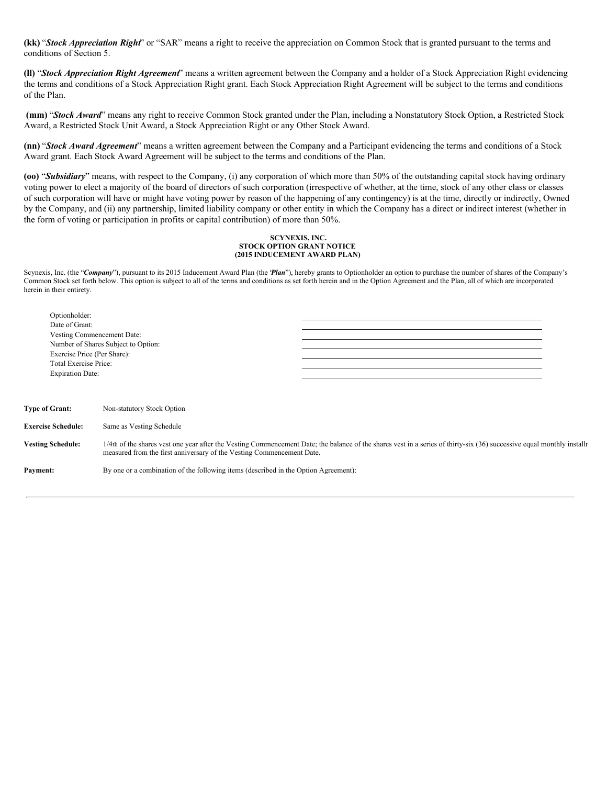**(kk)** "*Stock Appreciation Right*" or "SAR" means a right to receive the appreciation on Common Stock that is granted pursuant to the terms and conditions of Section 5.

**(ll)** "*Stock Appreciation Right Agreement*" means a written agreement between the Company and a holder of a Stock Appreciation Right evidencing the terms and conditions of a Stock Appreciation Right grant. Each Stock Appreciation Right Agreement will be subject to the terms and conditions of the Plan.

**(mm)** "*Stock Award*" means any right to receive Common Stock granted under the Plan, including a Nonstatutory Stock Option, a Restricted Stock Award, a Restricted Stock Unit Award, a Stock Appreciation Right or any Other Stock Award.

**(nn)** "*Stock Award Agreement*" means a written agreement between the Company and a Participant evidencing the terms and conditions of a Stock Award grant. Each Stock Award Agreement will be subject to the terms and conditions of the Plan.

**(oo)** "*Subsidiary*" means, with respect to the Company, (i) any corporation of which more than 50% of the outstanding capital stock having ordinary voting power to elect a majority of the board of directors of such corporation (irrespective of whether, at the time, stock of any other class or classes of such corporation will have or might have voting power by reason of the happening of any contingency) is at the time, directly or indirectly, Owned by the Company, and (ii) any partnership, limited liability company or other entity in which the Company has a direct or indirect interest (whether in the form of voting or participation in profits or capital contribution) of more than 50%.

#### **SCYNEXIS, INC. STOCK OPTION GRANT NOTICE (2015 INDUCEMENT AWARD PLAN)**

Scynexis, Inc. (the "*Company*"), pursuant to its 2015 Inducement Award Plan (the "*Plan*"), hereby grants to Optionholder an option to purchase the number of shares of the Company's Common Stock set forth below. This option is subject to all of the terms and conditions as set forth herein and in the Option Agreement and the Plan, all of which are incorporated herein in their entirety.

| Optionholder:               |                                                                                                                                                                                                                                                |  |
|-----------------------------|------------------------------------------------------------------------------------------------------------------------------------------------------------------------------------------------------------------------------------------------|--|
| Date of Grant:              |                                                                                                                                                                                                                                                |  |
| Vesting Commencement Date:  |                                                                                                                                                                                                                                                |  |
|                             | Number of Shares Subject to Option:                                                                                                                                                                                                            |  |
| Exercise Price (Per Share): |                                                                                                                                                                                                                                                |  |
| Total Exercise Price:       |                                                                                                                                                                                                                                                |  |
| <b>Expiration Date:</b>     |                                                                                                                                                                                                                                                |  |
|                             |                                                                                                                                                                                                                                                |  |
| <b>Type of Grant:</b>       | Non-statutory Stock Option                                                                                                                                                                                                                     |  |
| <b>Exercise Schedule:</b>   | Same as Vesting Schedule                                                                                                                                                                                                                       |  |
| <b>Vesting Schedule:</b>    | 1/4th of the shares vest one year after the Vesting Commencement Date; the balance of the shares vest in a series of thirty-six (36) successive equal monthly install<br>measured from the first anniversary of the Vesting Commencement Date. |  |
| Payment:                    | By one or a combination of the following items (described in the Option Agreement):                                                                                                                                                            |  |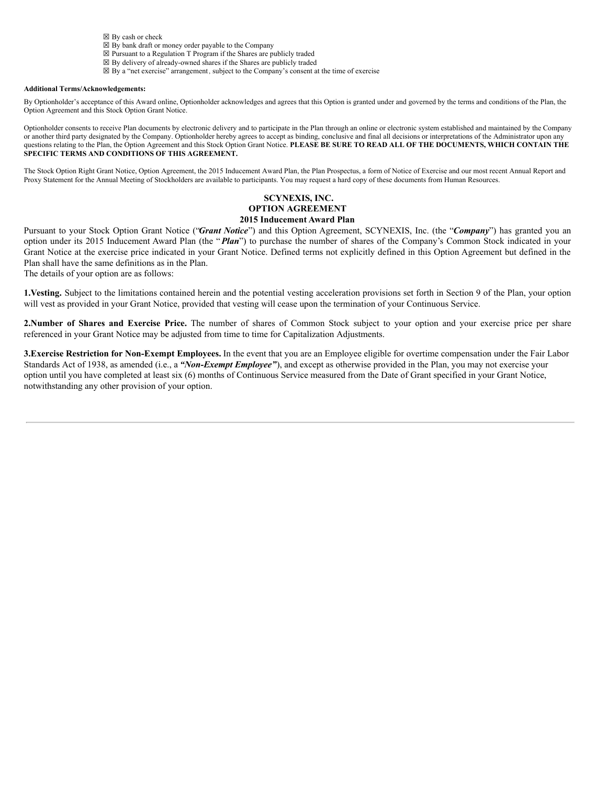☒ By cash or check  $\boxtimes$  By bank draft or money order payable to the Company ☒ Pursuant to a Regulation T Program if the Shares are publicly traded ☒ By delivery of already-owned shares if the Shares are publicly traded ☒ By a "net exercise" arrangement, subject to the Company's consent at the time of exercise

#### **Additional Terms/Acknowledgements:**

By Optionholder's acceptance of this Award online, Optionholder acknowledges and agrees that this Option is granted under and governed by the terms and conditions of the Plan, the Option Agreement and this Stock Option Grant Notice.

Optionholder consents to receive Plan documents by electronic delivery and to participate in the Plan through an online or electronic system established and maintained by the Company or another third party designated by the Company. Optionholder hereby agrees to accept as binding, conclusive and final all decisions or interpretations of the Administrator upon any questions relating to the Plan, the Option Agreement and this Stock Option Grant Notice. PLEASE BE SURE TO READ ALL OF THE DOCUMENTS, WHICH CONTAIN THE **SPECIFIC TERMS AND CONDITIONS OF THIS AGREEMENT.**

The Stock Option Right Grant Notice, Option Agreement, the 2015 Inducement Award Plan, the Plan Prospectus, a form of Notice of Exercise and our most recent Annual Report and Proxy Statement for the Annual Meeting of Stockholders are available to participants. You may request a hard copy of these documents from Human Resources.

#### **SCYNEXIS, INC. OPTION AGREEMENT 2015 Inducement Award Plan**

Pursuant to your Stock Option Grant Notice ("*Grant Notice*") and this Option Agreement, SCYNEXIS, Inc. (the "*Company*") has granted you an option under its 2015 Inducement Award Plan (the "*Plan*") to purchase the number of shares of the Company's Common Stock indicated in your Grant Notice at the exercise price indicated in your Grant Notice. Defined terms not explicitly defined in this Option Agreement but defined in the Plan shall have the same definitions as in the Plan.

The details of your option are as follows:

**1.Vesting.** Subject to the limitations contained herein and the potential vesting acceleration provisions set forth in Section 9 of the Plan, your option will vest as provided in your Grant Notice, provided that vesting will cease upon the termination of your Continuous Service.

**2.Number of Shares and Exercise Price.** The number of shares of Common Stock subject to your option and your exercise price per share referenced in your Grant Notice may be adjusted from time to time for Capitalization Adjustments.

**3.Exercise Restriction for Non-Exempt Employees.** In the event that you are an Employee eligible for overtime compensation under the Fair Labor Standards Act of 1938, as amended (i.e., a *"Non-Exempt Employee"*), and except as otherwise provided in the Plan, you may not exercise your option until you have completed at least six (6) months of Continuous Service measured from the Date of Grant specified in your Grant Notice, notwithstanding any other provision of your option.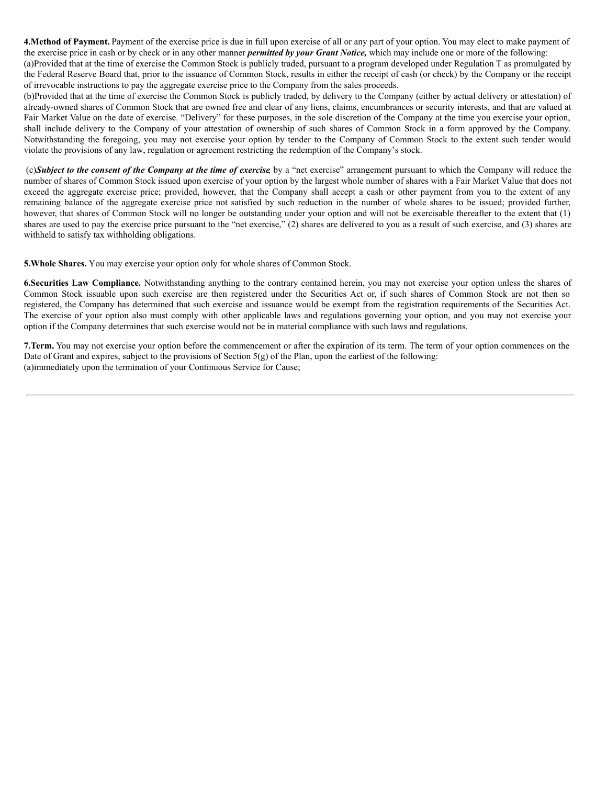**4.Method of Payment.** Payment of the exercise price is due in full upon exercise of all or any part of your option. You may elect to make payment of the exercise price in cash or by check or in any other manner *permitted by your Grant Notice,* which may include one or more of the following:

(a)Provided that at the time of exercise the Common Stock is publicly traded, pursuant to a program developed under Regulation T as promulgated by the Federal Reserve Board that, prior to the issuance of Common Stock, results in either the receipt of cash (or check) by the Company or the receipt of irrevocable instructions to pay the aggregate exercise price to the Company from the sales proceeds.

(b)Provided that at the time of exercise the Common Stock is publicly traded, by delivery to the Company (either by actual delivery or attestation) of already-owned shares of Common Stock that are owned free and clear of any liens, claims, encumbrances or security interests, and that are valued at Fair Market Value on the date of exercise. "Delivery" for these purposes, in the sole discretion of the Company at the time you exercise your option, shall include delivery to the Company of your attestation of ownership of such shares of Common Stock in a form approved by the Company. Notwithstanding the foregoing, you may not exercise your option by tender to the Company of Common Stock to the extent such tender would violate the provisions of any law, regulation or agreement restricting the redemption of the Company's stock.

(c) Subject to the consent of the Company at the time of exercise by a "net exercise" arrangement pursuant to which the Company will reduce the number of shares of Common Stock issued upon exercise of your option by the largest whole number of shares with a Fair Market Value that does not exceed the aggregate exercise price; provided, however, that the Company shall accept a cash or other payment from you to the extent of any remaining balance of the aggregate exercise price not satisfied by such reduction in the number of whole shares to be issued; provided further, however, that shares of Common Stock will no longer be outstanding under your option and will not be exercisable thereafter to the extent that (1) shares are used to pay the exercise price pursuant to the "net exercise," (2) shares are delivered to you as a result of such exercise, and (3) shares are withheld to satisfy tax withholding obligations.

**5.Whole Shares.** You may exercise your option only for whole shares of Common Stock.

**6.Securities Law Compliance.** Notwithstanding anything to the contrary contained herein, you may not exercise your option unless the shares of Common Stock issuable upon such exercise are then registered under the Securities Act or, if such shares of Common Stock are not then so registered, the Company has determined that such exercise and issuance would be exempt from the registration requirements of the Securities Act. The exercise of your option also must comply with other applicable laws and regulations governing your option, and you may not exercise your option if the Company determines that such exercise would not be in material compliance with such laws and regulations.

**7.Term.** You may not exercise your option before the commencement or after the expiration of its term. The term of your option commences on the Date of Grant and expires, subject to the provisions of Section  $5(g)$  of the Plan, upon the earliest of the following: (a)immediately upon the termination of your Continuous Service for Cause;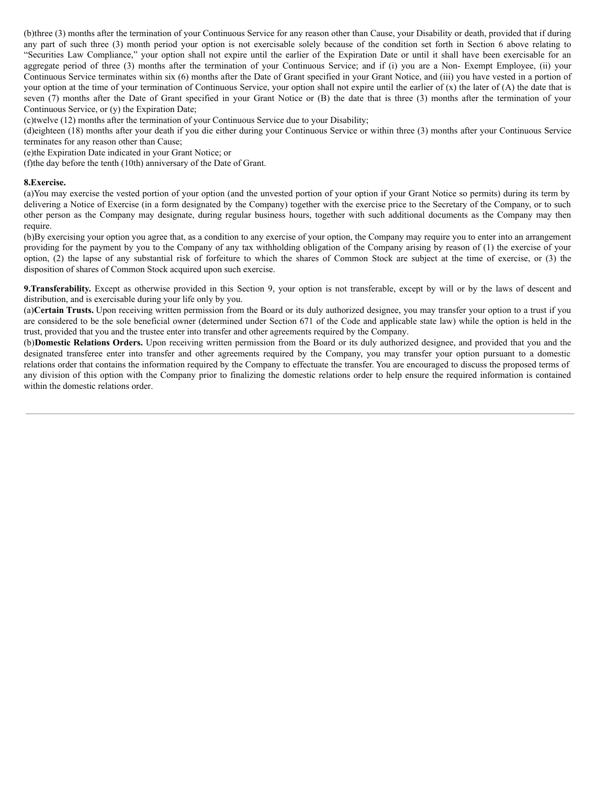(b)three (3) months after the termination of your Continuous Service for any reason other than Cause, your Disability or death, provided that if during any part of such three (3) month period your option is not exercisable solely because of the condition set forth in Section 6 above relating to "Securities Law Compliance," your option shall not expire until the earlier of the Expiration Date or until it shall have been exercisable for an aggregate period of three (3) months after the termination of your Continuous Service; and if (i) you are a Non- Exempt Employee, (ii) your Continuous Service terminates within six (6) months after the Date of Grant specified in your Grant Notice, and (iii) you have vested in a portion of your option at the time of your termination of Continuous Service, your option shall not expire until the earlier of (x) the later of (A) the date that is seven (7) months after the Date of Grant specified in your Grant Notice or (B) the date that is three (3) months after the termination of your Continuous Service, or (y) the Expiration Date;

(c)twelve (12) months after the termination of your Continuous Service due to your Disability;

(d)eighteen (18) months after your death if you die either during your Continuous Service or within three (3) months after your Continuous Service terminates for any reason other than Cause;

(e)the Expiration Date indicated in your Grant Notice; or

(f)the day before the tenth (10th) anniversary of the Date of Grant.

#### **8.Exercise.**

(a)You may exercise the vested portion of your option (and the unvested portion of your option if your Grant Notice so permits) during its term by delivering a Notice of Exercise (in a form designated by the Company) together with the exercise price to the Secretary of the Company, or to such other person as the Company may designate, during regular business hours, together with such additional documents as the Company may then require.

(b)By exercising your option you agree that, as a condition to any exercise of your option, the Company may require you to enter into an arrangement providing for the payment by you to the Company of any tax withholding obligation of the Company arising by reason of (1) the exercise of your option, (2) the lapse of any substantial risk of forfeiture to which the shares of Common Stock are subject at the time of exercise, or (3) the disposition of shares of Common Stock acquired upon such exercise.

**9.Transferability.** Except as otherwise provided in this Section 9, your option is not transferable, except by will or by the laws of descent and distribution, and is exercisable during your life only by you.

(a)**Certain Trusts.** Upon receiving written permission from the Board or its duly authorized designee, you may transfer your option to a trust if you are considered to be the sole beneficial owner (determined under Section 671 of the Code and applicable state law) while the option is held in the trust, provided that you and the trustee enter into transfer and other agreements required by the Company.

(b)**Domestic Relations Orders.** Upon receiving written permission from the Board or its duly authorized designee, and provided that you and the designated transferee enter into transfer and other agreements required by the Company, you may transfer your option pursuant to a domestic relations order that contains the information required by the Company to effectuate the transfer. You are encouraged to discuss the proposed terms of any division of this option with the Company prior to finalizing the domestic relations order to help ensure the required information is contained within the domestic relations order.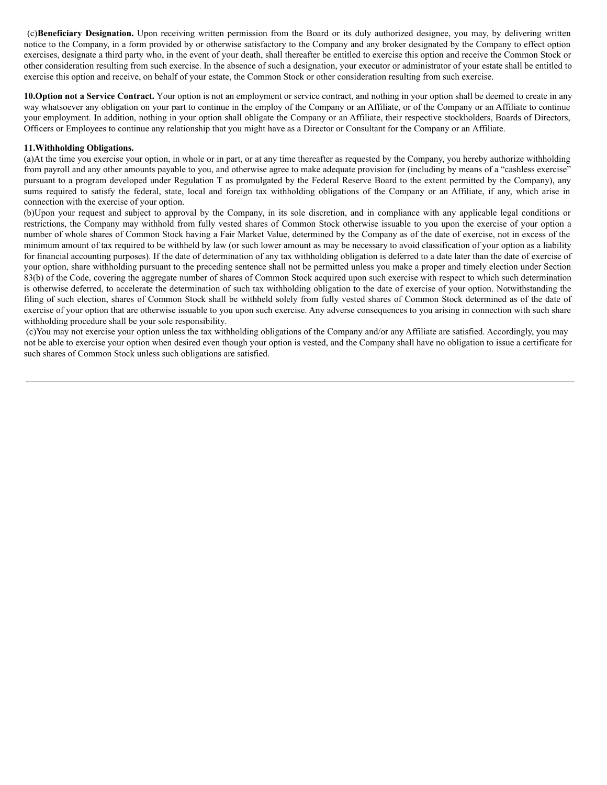(c)**Beneficiary Designation.** Upon receiving written permission from the Board or its duly authorized designee, you may, by delivering written notice to the Company, in a form provided by or otherwise satisfactory to the Company and any broker designated by the Company to effect option exercises, designate a third party who, in the event of your death, shall thereafter be entitled to exercise this option and receive the Common Stock or other consideration resulting from such exercise. In the absence of such a designation, your executor or administrator of your estate shall be entitled to exercise this option and receive, on behalf of your estate, the Common Stock or other consideration resulting from such exercise.

**10.Option not a Service Contract.** Your option is not an employment or service contract, and nothing in your option shall be deemed to create in any way whatsoever any obligation on your part to continue in the employ of the Company or an Affiliate, or of the Company or an Affiliate to continue your employment. In addition, nothing in your option shall obligate the Company or an Affiliate, their respective stockholders, Boards of Directors, Officers or Employees to continue any relationship that you might have as a Director or Consultant for the Company or an Affiliate.

## **11.Withholding Obligations.**

(a)At the time you exercise your option, in whole or in part, or at any time thereafter as requested by the Company, you hereby authorize withholding from payroll and any other amounts payable to you, and otherwise agree to make adequate provision for (including by means of a "cashless exercise" pursuant to a program developed under Regulation T as promulgated by the Federal Reserve Board to the extent permitted by the Company), any sums required to satisfy the federal, state, local and foreign tax withholding obligations of the Company or an Affiliate, if any, which arise in connection with the exercise of your option.

(b)Upon your request and subject to approval by the Company, in its sole discretion, and in compliance with any applicable legal conditions or restrictions, the Company may withhold from fully vested shares of Common Stock otherwise issuable to you upon the exercise of your option a number of whole shares of Common Stock having a Fair Market Value, determined by the Company as of the date of exercise, not in excess of the minimum amount of tax required to be withheld by law (or such lower amount as may be necessary to avoid classification of your option as a liability for financial accounting purposes). If the date of determination of any tax withholding obligation is deferred to a date later than the date of exercise of your option, share withholding pursuant to the preceding sentence shall not be permitted unless you make a proper and timely election under Section 83(b) of the Code, covering the aggregate number of shares of Common Stock acquired upon such exercise with respect to which such determination is otherwise deferred, to accelerate the determination of such tax withholding obligation to the date of exercise of your option. Notwithstanding the filing of such election, shares of Common Stock shall be withheld solely from fully vested shares of Common Stock determined as of the date of exercise of your option that are otherwise issuable to you upon such exercise. Any adverse consequences to you arising in connection with such share withholding procedure shall be your sole responsibility.

(c)You may not exercise your option unless the tax withholding obligations of the Company and/or any Affiliate are satisfied. Accordingly, you may not be able to exercise your option when desired even though your option is vested, and the Company shall have no obligation to issue a certificate for such shares of Common Stock unless such obligations are satisfied.